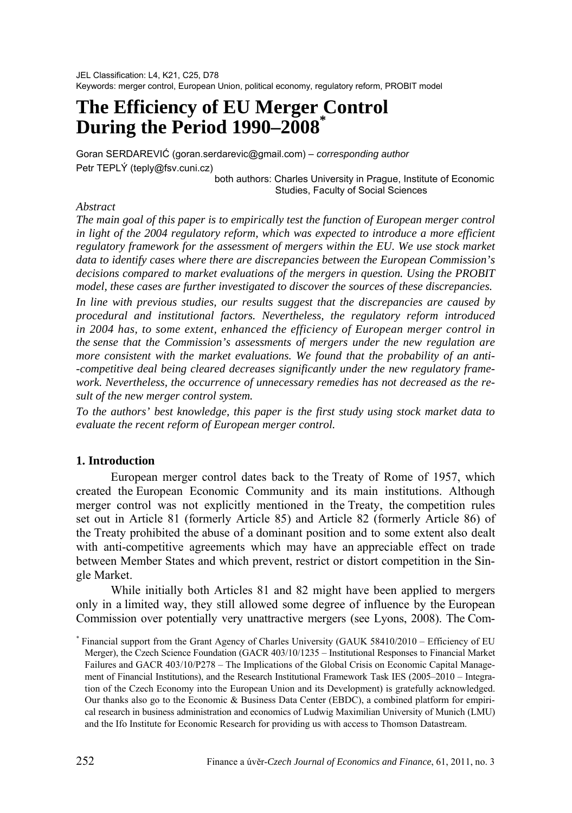JEL Classification: L4, K21, C25, D78 Keywords: merger control, European Union, political economy, regulatory reform, PROBIT model

# **The Efficiency of EU Merger Control During the Period 1990–2008\***

Goran SERDAREVIĆ (goran.serdarevic@gmail.com) – *corresponding author* Petr TEPLÝ (teply@fsv.cuni.cz)

both authors: Charles University in Prague, Institute of Economic Studies, Faculty of Social Sciences

#### *Abstract*

*The main goal of this paper is to empirically test the function of European merger control*  in light of the 2004 regulatory reform, which was expected to introduce a more efficient *regulatory framework for the assessment of mergers within the EU. We use stock market data to identify cases where there are discrepancies between the European Commission's decisions compared to market evaluations of the mergers in question. Using the PROBIT model, these cases are further investigated to discover the sources of these discrepancies.* 

*In line with previous studies, our results suggest that the discrepancies are caused by procedural and institutional factors. Nevertheless, the regulatory reform introduced in 2004 has, to some extent, enhanced the efficiency of European merger control in the sense that the Commission's assessments of mergers under the new regulation are more consistent with the market evaluations. We found that the probability of an anti- -competitive deal being cleared decreases significantly under the new regulatory framework. Nevertheless, the occurrence of unnecessary remedies has not decreased as the result of the new merger control system.* 

*To the authors' best knowledge, this paper is the first study using stock market data to evaluate the recent reform of European merger control.* 

#### **1. Introduction**

European merger control dates back to the Treaty of Rome of 1957, which created the European Economic Community and its main institutions. Although merger control was not explicitly mentioned in the Treaty, the competition rules set out in Article 81 (formerly Article 85) and Article 82 (formerly Article 86) of the Treaty prohibited the abuse of a dominant position and to some extent also dealt with anti-competitive agreements which may have an appreciable effect on trade between Member States and which prevent, restrict or distort competition in the Single Market.

While initially both Articles 81 and 82 might have been applied to mergers only in a limited way, they still allowed some degree of influence by the European Commission over potentially very unattractive mergers (see Lyons, 2008). The Com-

<sup>\*</sup> Financial support from the Grant Agency of Charles University (GAUK 58410/2010 – Efficiency of EU Merger), the Czech Science Foundation (GACR 403/10/1235 – Institutional Responses to Financial Market Failures and GACR 403/10/P278 – The Implications of the Global Crisis on Economic Capital Management of Financial Institutions), and the Research Institutional Framework Task IES (2005–2010 – Integration of the Czech Economy into the European Union and its Development) is gratefully acknowledged. Our thanks also go to the Economic & Business Data Center (EBDC), a combined platform for empirical research in business administration and economics of Ludwig Maximilian University of Munich (LMU) and the Ifo Institute for Economic Research for providing us with access to Thomson Datastream.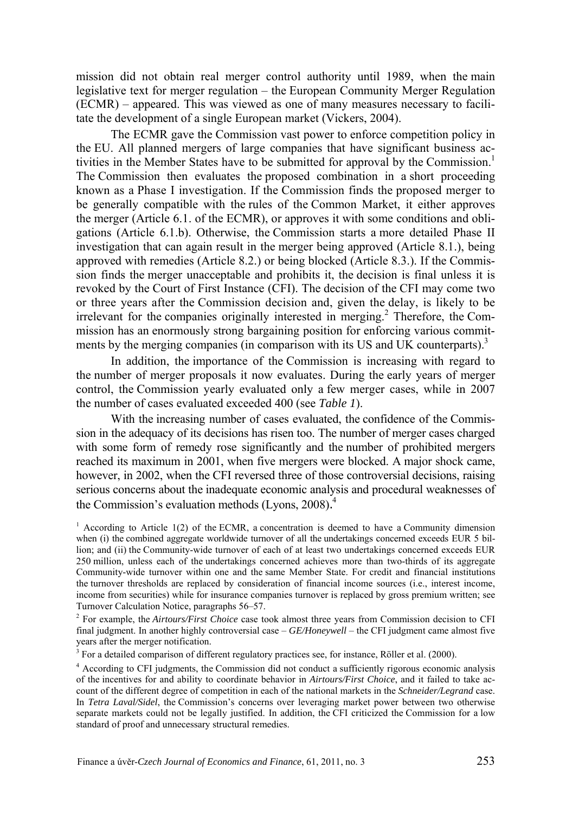mission did not obtain real merger control authority until 1989, when the main legislative text for merger regulation – the European Community Merger Regulation (ECMR) – appeared. This was viewed as one of many measures necessary to facilitate the development of a single European market (Vickers, 2004).

The ECMR gave the Commission vast power to enforce competition policy in the EU. All planned mergers of large companies that have significant business activities in the Member States have to be submitted for approval by the Commission.<sup>1</sup> The Commission then evaluates the proposed combination in a short proceeding known as a Phase I investigation. If the Commission finds the proposed merger to be generally compatible with the rules of the Common Market, it either approves the merger (Article 6.1. of the ECMR), or approves it with some conditions and obligations (Article 6.1.b). Otherwise, the Commission starts a more detailed Phase II investigation that can again result in the merger being approved (Article 8.1.), being approved with remedies (Article 8.2.) or being blocked (Article 8.3.). If the Commission finds the merger unacceptable and prohibits it, the decision is final unless it is revoked by the Court of First Instance (CFI). The decision of the CFI may come two or three years after the Commission decision and, given the delay, is likely to be irrelevant for the companies originally interested in merging.<sup>2</sup> Therefore, the Commission has an enormously strong bargaining position for enforcing various commitments by the merging companies (in comparison with its US and UK counterparts).<sup>3</sup>

In addition, the importance of the Commission is increasing with regard to the number of merger proposals it now evaluates. During the early years of merger control, the Commission yearly evaluated only a few merger cases, while in 2007 the number of cases evaluated exceeded 400 (see *Table 1*).

With the increasing number of cases evaluated, the confidence of the Commission in the adequacy of its decisions has risen too. The number of merger cases charged with some form of remedy rose significantly and the number of prohibited mergers reached its maximum in 2001, when five mergers were blocked. A major shock came, however, in 2002, when the CFI reversed three of those controversial decisions, raising serious concerns about the inadequate economic analysis and procedural weaknesses of the Commission's evaluation methods (Lyons, 2008). 4

 $3$  For a detailed comparison of different regulatory practices see, for instance, Röller et al. (2000).

<sup>&</sup>lt;sup>1</sup> According to Article 1(2) of the ECMR, a concentration is deemed to have a Community dimension when (i) the combined aggregate worldwide turnover of all the undertakings concerned exceeds EUR 5 billion; and (ii) the Community-wide turnover of each of at least two undertakings concerned exceeds EUR 250 million, unless each of the undertakings concerned achieves more than two-thirds of its aggregate Community-wide turnover within one and the same Member State. For credit and financial institutions the turnover thresholds are replaced by consideration of financial income sources (i.e., interest income, income from securities) while for insurance companies turnover is replaced by gross premium written; see Turnover Calculation Notice, paragraphs 56–57.

<sup>2</sup> For example, the *Airtours/First Choice* case took almost three years from Commission decision to CFI final judgment. In another highly controversial case – *GE/Honeywell* – the CFI judgment came almost five years after the merger notification.

<sup>&</sup>lt;sup>4</sup> According to CFI judgments, the Commission did not conduct a sufficiently rigorous economic analysis of the incentives for and ability to coordinate behavior in *Airtours/First Choice*, and it failed to take account of the different degree of competition in each of the national markets in the *Schneider/Legrand* case. In *Tetra Laval/Sidel*, the Commission's concerns over leveraging market power between two otherwise separate markets could not be legally justified. In addition, the CFI criticized the Commission for a low standard of proof and unnecessary structural remedies.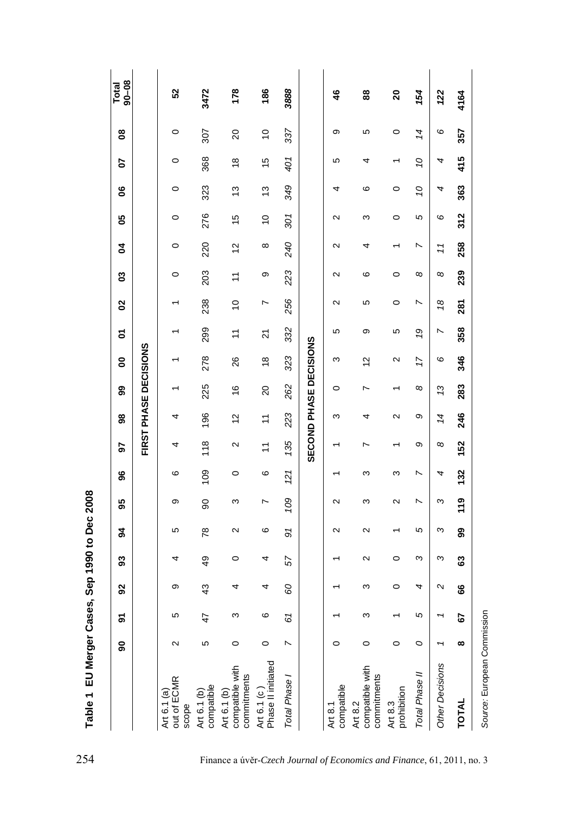| 368<br>401<br>Ö<br>$\circ$<br>$\frac{8}{3}$<br>15<br>5<br>4<br>4<br>᠇<br>349<br>323<br>ဖ<br>Ö<br>$\circ$<br>13<br>$\circ$<br>4<br>13<br>4<br>276<br>301<br>5<br>စ<br>$\circ$<br>15<br>$\mathbf{\Omega}$<br>ω<br>$\circ$<br>$\tilde{c}$<br>240<br>220<br>N<br>$^\infty$<br>0<br>12<br>N<br>4<br>71<br>223<br>203<br>8<br>$^{\circ}$<br>თ<br>ဖ<br>$\circ$<br>0<br>$\mathbf{\sim}$<br>Ξ<br>256<br>238<br>N<br>5<br>$\frac{8}{2}$<br>$\frac{0}{1}$<br>$\circ$<br>L<br>N<br>332<br>299<br>9<br>$\overline{\phantom{0}}$<br>5<br>თ<br>ю<br>$\tilde{\mathcal{L}}$<br>24<br>SECOND PHASE DECISIONS<br>FIRST PHASE DECISIONS<br>323<br>278<br>17<br>6<br>$\frac{8}{1}$<br>26<br>ო<br>12<br>Ν<br>225<br>262<br>8<br>13<br>$\frac{6}{5}$<br>20<br>0<br>r<br>223<br>196<br>2<br>Ο<br>14<br>4<br>12<br>ო<br>4<br>H<br>135<br>118<br>Ο<br>$^{\circ}$<br>$\mathbf{\Omega}$<br>N<br>4<br>Ξ<br>109<br>N<br>121<br>ဖ<br>ဖ<br>ω<br>4<br>0<br>ო<br>109<br>N<br>Ω<br>თ<br>8<br>ς<br>$\mathbf{\Omega}$<br>ω<br>2<br>r<br>5<br>ω<br>$\overline{78}$<br>$\mathbf{\Omega}$<br>ဖ<br>$\mathbf{\Omega}$<br>Ю<br>5<br>N<br>ω<br>Ω<br>$\overline{6}$<br>$\circ$<br>57<br>$\mathbf{\Omega}$<br>$\circ$<br>4<br>4<br>80<br>4<br>თ<br>$\frac{3}{4}$<br>ო<br>$\circ$<br>$\mathbf{\Omega}$<br>4<br>4<br>5<br>Ю<br>ო<br>ဖ<br>61<br>47<br>ო<br>O<br>N<br>2<br>ю<br>0<br>$\circ$<br>0<br>$\circ$<br>0<br>compatible with<br>commitments<br>Art 6.1 (a)<br>out of ECMR<br>compatible<br>Art 6.1 (b)<br>Art 6.1 (b) |                                   | န္တ      | δ  | 92 | S3 | ट्र | 95  | န္တ | 5   | 98  | 8   | 8   | δ   | 02  | ຮ   | इ   | ပိ  | 8   | 5   | g              | $90 - 08$<br>Total |
|-----------------------------------------------------------------------------------------------------------------------------------------------------------------------------------------------------------------------------------------------------------------------------------------------------------------------------------------------------------------------------------------------------------------------------------------------------------------------------------------------------------------------------------------------------------------------------------------------------------------------------------------------------------------------------------------------------------------------------------------------------------------------------------------------------------------------------------------------------------------------------------------------------------------------------------------------------------------------------------------------------------------------------------------------------------------------------------------------------------------------------------------------------------------------------------------------------------------------------------------------------------------------------------------------------------------------------------------------------------------------------------------------------------------------------------------------------------------------------|-----------------------------------|----------|----|----|----|-----|-----|-----|-----|-----|-----|-----|-----|-----|-----|-----|-----|-----|-----|----------------|--------------------|
|                                                                                                                                                                                                                                                                                                                                                                                                                                                                                                                                                                                                                                                                                                                                                                                                                                                                                                                                                                                                                                                                                                                                                                                                                                                                                                                                                                                                                                                                             |                                   |          |    |    |    |     |     |     |     |     |     |     |     |     |     |     |     |     |     |                |                    |
|                                                                                                                                                                                                                                                                                                                                                                                                                                                                                                                                                                                                                                                                                                                                                                                                                                                                                                                                                                                                                                                                                                                                                                                                                                                                                                                                                                                                                                                                             |                                   |          |    |    |    |     |     |     |     |     |     |     |     |     |     |     |     |     |     | $\circ$        | ន                  |
|                                                                                                                                                                                                                                                                                                                                                                                                                                                                                                                                                                                                                                                                                                                                                                                                                                                                                                                                                                                                                                                                                                                                                                                                                                                                                                                                                                                                                                                                             |                                   |          |    |    |    |     |     |     |     |     |     |     |     |     |     |     |     |     |     | 307            | 3472               |
|                                                                                                                                                                                                                                                                                                                                                                                                                                                                                                                                                                                                                                                                                                                                                                                                                                                                                                                                                                                                                                                                                                                                                                                                                                                                                                                                                                                                                                                                             |                                   |          |    |    |    |     |     |     |     |     |     |     |     |     |     |     |     |     |     | 20             | 178                |
| Total Phase                                                                                                                                                                                                                                                                                                                                                                                                                                                                                                                                                                                                                                                                                                                                                                                                                                                                                                                                                                                                                                                                                                                                                                                                                                                                                                                                                                                                                                                                 | Phase II initiated<br>Art 6.1 (c) |          |    |    |    |     |     |     |     |     |     |     |     |     |     |     |     |     |     | $\overline{0}$ | 186                |
|                                                                                                                                                                                                                                                                                                                                                                                                                                                                                                                                                                                                                                                                                                                                                                                                                                                                                                                                                                                                                                                                                                                                                                                                                                                                                                                                                                                                                                                                             |                                   |          |    |    |    |     |     |     |     |     |     |     |     |     |     |     |     |     |     | 337            | 3888               |
|                                                                                                                                                                                                                                                                                                                                                                                                                                                                                                                                                                                                                                                                                                                                                                                                                                                                                                                                                                                                                                                                                                                                                                                                                                                                                                                                                                                                                                                                             |                                   |          |    |    |    |     |     |     |     |     |     |     |     |     |     |     |     |     |     |                |                    |
| compatible with<br>Total Phase II<br>commitments<br>prohibition<br>Art 8.2<br>Art 8.3                                                                                                                                                                                                                                                                                                                                                                                                                                                                                                                                                                                                                                                                                                                                                                                                                                                                                                                                                                                                                                                                                                                                                                                                                                                                                                                                                                                       | compatible<br>Art 8.1             |          |    |    |    |     |     |     |     |     |     |     |     |     |     |     |     |     |     | თ              | 46                 |
|                                                                                                                                                                                                                                                                                                                                                                                                                                                                                                                                                                                                                                                                                                                                                                                                                                                                                                                                                                                                                                                                                                                                                                                                                                                                                                                                                                                                                                                                             |                                   |          |    |    |    |     |     |     |     |     |     |     |     |     |     |     |     |     |     | 5              | 88                 |
|                                                                                                                                                                                                                                                                                                                                                                                                                                                                                                                                                                                                                                                                                                                                                                                                                                                                                                                                                                                                                                                                                                                                                                                                                                                                                                                                                                                                                                                                             |                                   |          |    |    |    |     |     |     |     |     |     |     |     |     |     |     |     |     |     | $\circ$        | 20                 |
|                                                                                                                                                                                                                                                                                                                                                                                                                                                                                                                                                                                                                                                                                                                                                                                                                                                                                                                                                                                                                                                                                                                                                                                                                                                                                                                                                                                                                                                                             |                                   |          |    |    |    |     |     |     |     |     |     |     |     |     |     |     |     |     |     | 14             | 154                |
|                                                                                                                                                                                                                                                                                                                                                                                                                                                                                                                                                                                                                                                                                                                                                                                                                                                                                                                                                                                                                                                                                                                                                                                                                                                                                                                                                                                                                                                                             | Other Decisions                   |          |    |    |    |     |     |     |     |     |     |     |     |     |     |     |     |     |     | 6              | 122                |
|                                                                                                                                                                                                                                                                                                                                                                                                                                                                                                                                                                                                                                                                                                                                                                                                                                                                                                                                                                                                                                                                                                                                                                                                                                                                                                                                                                                                                                                                             | TOTAL                             | $\infty$ | 52 | 8  | යි | 99  | 119 | 132 | 152 | 246 | 283 | 346 | 358 | 281 | 239 | 258 | 312 | 363 | 415 | 357            | 4164               |

Table 1 EU Merger Cases, Sep 1990 to Dec 2008 **Table 1 EU Merger Cases, Sep 1990 to Dec 2008**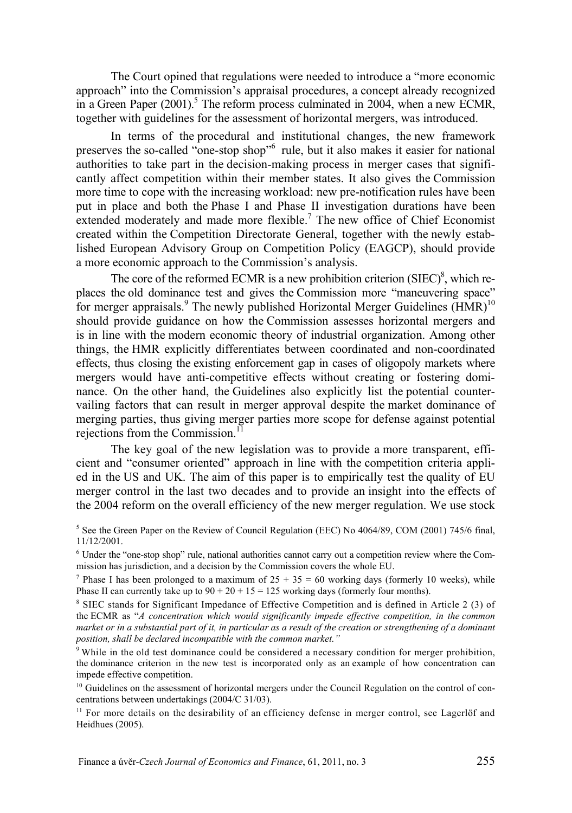The Court opined that regulations were needed to introduce a "more economic approach" into the Commission's appraisal procedures, a concept already recognized in a Green Paper  $(2001)$ .<sup>5</sup> The reform process culminated in 2004, when a new ECMR, together with guidelines for the assessment of horizontal mergers, was introduced.

In terms of the procedural and institutional changes, the new framework preserves the so-called "one-stop shop"6 rule, but it also makes it easier for national authorities to take part in the decision-making process in merger cases that significantly affect competition within their member states. It also gives the Commission more time to cope with the increasing workload: new pre-notification rules have been put in place and both the Phase I and Phase II investigation durations have been extended moderately and made more flexible.<sup>7</sup> The new office of Chief Economist created within the Competition Directorate General, together with the newly established European Advisory Group on Competition Policy (EAGCP), should provide a more economic approach to the Commission's analysis.

The core of the reformed ECMR is a new prohibition criterion  $(SIEC)^8$ , which replaces the old dominance test and gives the Commission more "maneuvering space" for merger appraisals.<sup>9</sup> The newly published Horizontal Merger Guidelines  $(HMR)^{10}$ should provide guidance on how the Commission assesses horizontal mergers and is in line with the modern economic theory of industrial organization. Among other things, the HMR explicitly differentiates between coordinated and non-coordinated effects, thus closing the existing enforcement gap in cases of oligopoly markets where mergers would have anti-competitive effects without creating or fostering dominance. On the other hand, the Guidelines also explicitly list the potential countervailing factors that can result in merger approval despite the market dominance of merging parties, thus giving merger parties more scope for defense against potential rejections from the Commission.<sup>11</sup>

The key goal of the new legislation was to provide a more transparent, efficient and "consumer oriented" approach in line with the competition criteria applied in the US and UK. The aim of this paper is to empirically test the quality of EU merger control in the last two decades and to provide an insight into the effects of the 2004 reform on the overall efficiency of the new merger regulation. We use stock

<sup>5</sup> See the Green Paper on the Review of Council Regulation (EEC) No 4064/89, COM (2001) 745/6 final, 11/12/2001.

6 Under the "one-stop shop" rule, national authorities cannot carry out a competition review where the Commission has jurisdiction, and a decision by the Commission covers the whole EU. 7

<sup>7</sup> Phase I has been prolonged to a maximum of  $25 + 35 = 60$  working days (formerly 10 weeks), while Phase II can currently take up to  $90 + 20 + 15 = 125$  working days (formerly four months).

<sup>8</sup> SIEC stands for Significant Impedance of Effective Competition and is defined in Article 2 (3) of the ECMR as "*A concentration which would significantly impede effective competition, in the common market or in a substantial part of it, in particular as a result of the creation or strengthening of a dominant position, shall be declared incompatible with the common market."*

<sup>9</sup> While in the old test dominance could be considered a necessary condition for merger prohibition, the dominance criterion in the new test is incorporated only as an example of how concentration can impede effective competition.

<sup>10</sup> Guidelines on the assessment of horizontal mergers under the Council Regulation on the control of concentrations between undertakings (2004/C 31/03).

<sup>11</sup> For more details on the desirability of an efficiency defense in merger control, see Lagerlöf and Heidhues (2005).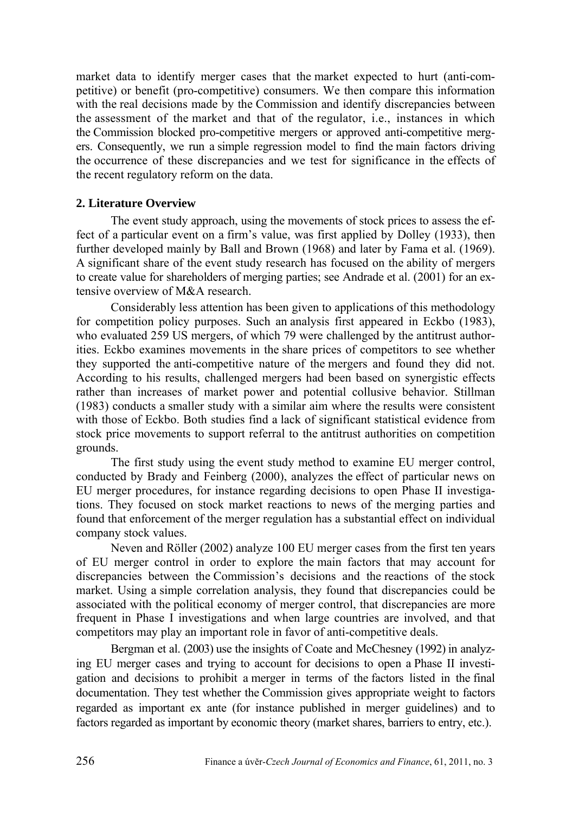market data to identify merger cases that the market expected to hurt (anti-competitive) or benefit (pro-competitive) consumers. We then compare this information with the real decisions made by the Commission and identify discrepancies between the assessment of the market and that of the regulator, i.e., instances in which the Commission blocked pro-competitive mergers or approved anti-competitive mergers. Consequently, we run a simple regression model to find the main factors driving the occurrence of these discrepancies and we test for significance in the effects of the recent regulatory reform on the data.

#### **2. Literature Overview**

The event study approach, using the movements of stock prices to assess the effect of a particular event on a firm's value, was first applied by Dolley (1933), then further developed mainly by Ball and Brown (1968) and later by Fama et al. (1969). A significant share of the event study research has focused on the ability of mergers to create value for shareholders of merging parties; see Andrade et al. (2001) for an extensive overview of M&A research.

Considerably less attention has been given to applications of this methodology for competition policy purposes. Such an analysis first appeared in Eckbo (1983), who evaluated 259 US mergers, of which 79 were challenged by the antitrust authorities. Eckbo examines movements in the share prices of competitors to see whether they supported the anti-competitive nature of the mergers and found they did not. According to his results, challenged mergers had been based on synergistic effects rather than increases of market power and potential collusive behavior. Stillman (1983) conducts a smaller study with a similar aim where the results were consistent with those of Eckbo. Both studies find a lack of significant statistical evidence from stock price movements to support referral to the antitrust authorities on competition grounds.

The first study using the event study method to examine EU merger control, conducted by Brady and Feinberg (2000), analyzes the effect of particular news on EU merger procedures, for instance regarding decisions to open Phase II investigations. They focused on stock market reactions to news of the merging parties and found that enforcement of the merger regulation has a substantial effect on individual company stock values.

Neven and Röller (2002) analyze 100 EU merger cases from the first ten years of EU merger control in order to explore the main factors that may account for discrepancies between the Commission's decisions and the reactions of the stock market. Using a simple correlation analysis, they found that discrepancies could be associated with the political economy of merger control, that discrepancies are more frequent in Phase I investigations and when large countries are involved, and that competitors may play an important role in favor of anti-competitive deals.

Bergman et al. (2003) use the insights of Coate and McChesney (1992) in analyzing EU merger cases and trying to account for decisions to open a Phase II investigation and decisions to prohibit a merger in terms of the factors listed in the final documentation. They test whether the Commission gives appropriate weight to factors regarded as important ex ante (for instance published in merger guidelines) and to factors regarded as important by economic theory (market shares, barriers to entry, etc.).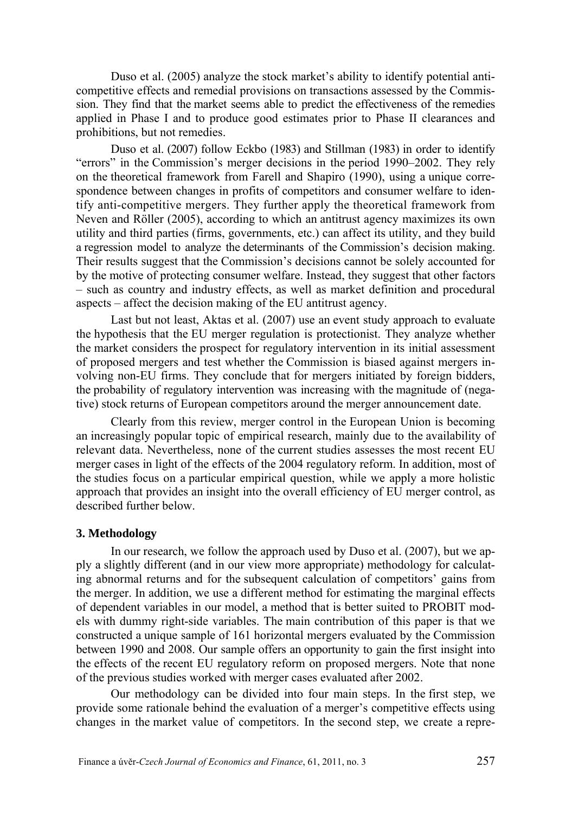Duso et al. (2005) analyze the stock market's ability to identify potential anticompetitive effects and remedial provisions on transactions assessed by the Commission. They find that the market seems able to predict the effectiveness of the remedies applied in Phase I and to produce good estimates prior to Phase II clearances and prohibitions, but not remedies.

Duso et al. (2007) follow Eckbo (1983) and Stillman (1983) in order to identify "errors" in the Commission's merger decisions in the period 1990–2002. They rely on the theoretical framework from Farell and Shapiro (1990), using a unique correspondence between changes in profits of competitors and consumer welfare to identify anti-competitive mergers. They further apply the theoretical framework from Neven and Röller (2005), according to which an antitrust agency maximizes its own utility and third parties (firms, governments, etc.) can affect its utility, and they build a regression model to analyze the determinants of the Commission's decision making. Their results suggest that the Commission's decisions cannot be solely accounted for by the motive of protecting consumer welfare. Instead, they suggest that other factors – such as country and industry effects, as well as market definition and procedural aspects – affect the decision making of the EU antitrust agency.

Last but not least, Aktas et al. (2007) use an event study approach to evaluate the hypothesis that the EU merger regulation is protectionist. They analyze whether the market considers the prospect for regulatory intervention in its initial assessment of proposed mergers and test whether the Commission is biased against mergers involving non-EU firms. They conclude that for mergers initiated by foreign bidders, the probability of regulatory intervention was increasing with the magnitude of (negative) stock returns of European competitors around the merger announcement date.

Clearly from this review, merger control in the European Union is becoming an increasingly popular topic of empirical research, mainly due to the availability of relevant data. Nevertheless, none of the current studies assesses the most recent EU merger cases in light of the effects of the 2004 regulatory reform. In addition, most of the studies focus on a particular empirical question, while we apply a more holistic approach that provides an insight into the overall efficiency of EU merger control, as described further below.

#### **3. Methodology**

In our research, we follow the approach used by Duso et al. (2007), but we apply a slightly different (and in our view more appropriate) methodology for calculating abnormal returns and for the subsequent calculation of competitors' gains from the merger. In addition, we use a different method for estimating the marginal effects of dependent variables in our model, a method that is better suited to PROBIT models with dummy right-side variables. The main contribution of this paper is that we constructed a unique sample of 161 horizontal mergers evaluated by the Commission between 1990 and 2008. Our sample offers an opportunity to gain the first insight into the effects of the recent EU regulatory reform on proposed mergers. Note that none of the previous studies worked with merger cases evaluated after 2002.

Our methodology can be divided into four main steps. In the first step, we provide some rationale behind the evaluation of a merger's competitive effects using changes in the market value of competitors. In the second step, we create a repre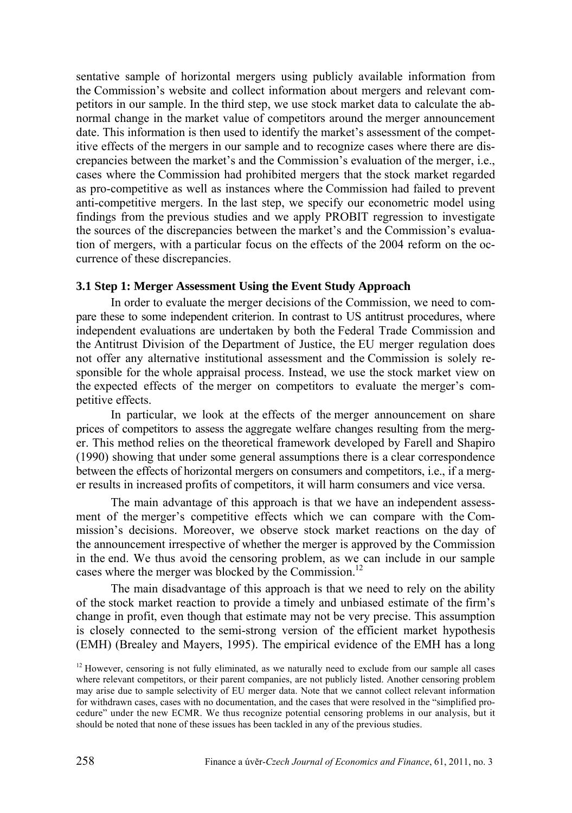sentative sample of horizontal mergers using publicly available information from the Commission's website and collect information about mergers and relevant competitors in our sample. In the third step, we use stock market data to calculate the abnormal change in the market value of competitors around the merger announcement date. This information is then used to identify the market's assessment of the competitive effects of the mergers in our sample and to recognize cases where there are discrepancies between the market's and the Commission's evaluation of the merger, i.e., cases where the Commission had prohibited mergers that the stock market regarded as pro-competitive as well as instances where the Commission had failed to prevent anti-competitive mergers. In the last step, we specify our econometric model using findings from the previous studies and we apply PROBIT regression to investigate the sources of the discrepancies between the market's and the Commission's evaluation of mergers, with a particular focus on the effects of the 2004 reform on the occurrence of these discrepancies.

#### **3.1 Step 1: Merger Assessment Using the Event Study Approach**

In order to evaluate the merger decisions of the Commission, we need to compare these to some independent criterion. In contrast to US antitrust procedures, where independent evaluations are undertaken by both the Federal Trade Commission and the Antitrust Division of the Department of Justice, the EU merger regulation does not offer any alternative institutional assessment and the Commission is solely responsible for the whole appraisal process. Instead, we use the stock market view on the expected effects of the merger on competitors to evaluate the merger's competitive effects.

In particular, we look at the effects of the merger announcement on share prices of competitors to assess the aggregate welfare changes resulting from the merger. This method relies on the theoretical framework developed by Farell and Shapiro (1990) showing that under some general assumptions there is a clear correspondence between the effects of horizontal mergers on consumers and competitors, i.e., if a merger results in increased profits of competitors, it will harm consumers and vice versa.

The main advantage of this approach is that we have an independent assessment of the merger's competitive effects which we can compare with the Commission's decisions. Moreover, we observe stock market reactions on the day of the announcement irrespective of whether the merger is approved by the Commission in the end. We thus avoid the censoring problem, as we can include in our sample cases where the merger was blocked by the Commission.<sup>12</sup>

The main disadvantage of this approach is that we need to rely on the ability of the stock market reaction to provide a timely and unbiased estimate of the firm's change in profit, even though that estimate may not be very precise. This assumption is closely connected to the semi-strong version of the efficient market hypothesis (EMH) (Brealey and Mayers, 1995). The empirical evidence of the EMH has a long

 $12$  However, censoring is not fully eliminated, as we naturally need to exclude from our sample all cases where relevant competitors, or their parent companies, are not publicly listed. Another censoring problem may arise due to sample selectivity of EU merger data. Note that we cannot collect relevant information for withdrawn cases, cases with no documentation, and the cases that were resolved in the "simplified procedure" under the new ECMR. We thus recognize potential censoring problems in our analysis, but it should be noted that none of these issues has been tackled in any of the previous studies.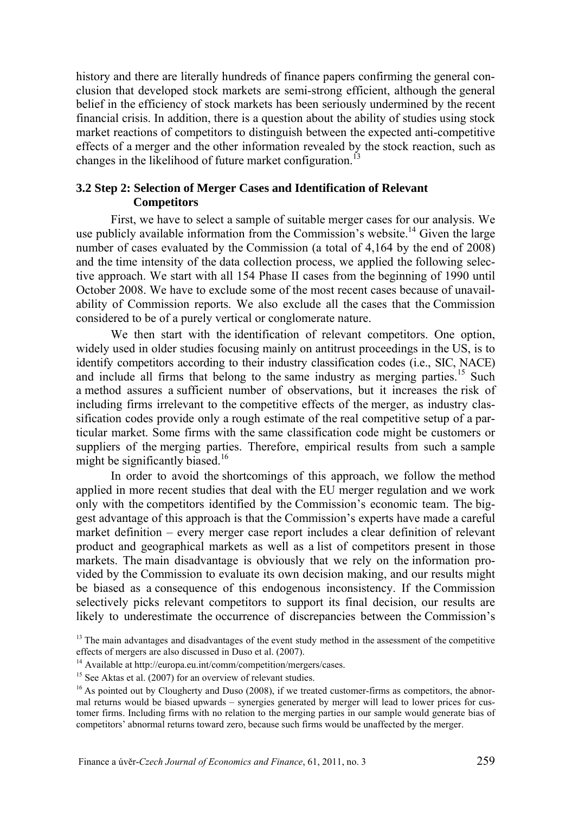history and there are literally hundreds of finance papers confirming the general conclusion that developed stock markets are semi-strong efficient, although the general belief in the efficiency of stock markets has been seriously undermined by the recent financial crisis. In addition, there is a question about the ability of studies using stock market reactions of competitors to distinguish between the expected anti-competitive effects of a merger and the other information revealed by the stock reaction, such as changes in the likelihood of future market configuration.<sup>13</sup>

## **3.2 Step 2: Selection of Merger Cases and Identification of Relevant Competitors**

First, we have to select a sample of suitable merger cases for our analysis. We use publicly available information from the Commission's website.<sup>14</sup> Given the large number of cases evaluated by the Commission (a total of 4,164 by the end of 2008) and the time intensity of the data collection process, we applied the following selective approach. We start with all 154 Phase II cases from the beginning of 1990 until October 2008. We have to exclude some of the most recent cases because of unavailability of Commission reports. We also exclude all the cases that the Commission considered to be of a purely vertical or conglomerate nature.

We then start with the identification of relevant competitors. One option, widely used in older studies focusing mainly on antitrust proceedings in the US, is to identify competitors according to their industry classification codes (i.e., SIC, NACE) and include all firms that belong to the same industry as merging parties.<sup>15</sup> Such a method assures a sufficient number of observations, but it increases the risk of including firms irrelevant to the competitive effects of the merger, as industry classification codes provide only a rough estimate of the real competitive setup of a particular market. Some firms with the same classification code might be customers or suppliers of the merging parties. Therefore, empirical results from such a sample might be significantly biased.<sup>16</sup>

In order to avoid the shortcomings of this approach, we follow the method applied in more recent studies that deal with the EU merger regulation and we work only with the competitors identified by the Commission's economic team. The biggest advantage of this approach is that the Commission's experts have made a careful market definition – every merger case report includes a clear definition of relevant product and geographical markets as well as a list of competitors present in those markets. The main disadvantage is obviously that we rely on the information provided by the Commission to evaluate its own decision making, and our results might be biased as a consequence of this endogenous inconsistency. If the Commission selectively picks relevant competitors to support its final decision, our results are likely to underestimate the occurrence of discrepancies between the Commission's

<sup>&</sup>lt;sup>13</sup> The main advantages and disadvantages of the event study method in the assessment of the competitive effects of mergers are also discussed in Duso et al. (2007).

<sup>&</sup>lt;sup>14</sup> Available at http://europa.eu.int/comm/competition/mergers/cases.

<sup>&</sup>lt;sup>15</sup> See Aktas et al. (2007) for an overview of relevant studies.

 $16$  As pointed out by Clougherty and Duso (2008), if we treated customer-firms as competitors, the abnormal returns would be biased upwards – synergies generated by merger will lead to lower prices for customer firms. Including firms with no relation to the merging parties in our sample would generate bias of competitors' abnormal returns toward zero, because such firms would be unaffected by the merger.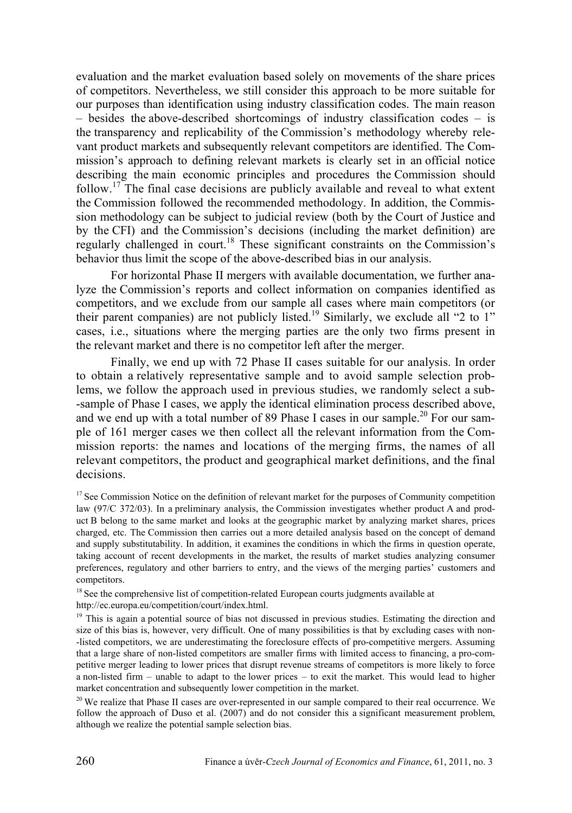evaluation and the market evaluation based solely on movements of the share prices of competitors. Nevertheless, we still consider this approach to be more suitable for our purposes than identification using industry classification codes. The main reason – besides the above-described shortcomings of industry classification codes – is the transparency and replicability of the Commission's methodology whereby relevant product markets and subsequently relevant competitors are identified. The Commission's approach to defining relevant markets is clearly set in an official notice describing the main economic principles and procedures the Commission should follow.17 The final case decisions are publicly available and reveal to what extent the Commission followed the recommended methodology. In addition, the Commission methodology can be subject to judicial review (both by the Court of Justice and by the CFI) and the Commission's decisions (including the market definition) are regularly challenged in court.<sup>18</sup> These significant constraints on the Commission's behavior thus limit the scope of the above-described bias in our analysis.

For horizontal Phase II mergers with available documentation, we further analyze the Commission's reports and collect information on companies identified as competitors, and we exclude from our sample all cases where main competitors (or their parent companies) are not publicly listed.<sup>19</sup> Similarly, we exclude all "2 to  $1$ " cases, i.e., situations where the merging parties are the only two firms present in the relevant market and there is no competitor left after the merger.

Finally, we end up with 72 Phase II cases suitable for our analysis. In order to obtain a relatively representative sample and to avoid sample selection problems, we follow the approach used in previous studies, we randomly select a sub- -sample of Phase I cases, we apply the identical elimination process described above, and we end up with a total number of 89 Phase I cases in our sample.<sup>20</sup> For our sample of 161 merger cases we then collect all the relevant information from the Commission reports: the names and locations of the merging firms, the names of all relevant competitors, the product and geographical market definitions, and the final decisions.

<sup>17</sup> See Commission Notice on the definition of relevant market for the purposes of Community competition law (97/C 372/03). In a preliminary analysis, the Commission investigates whether product A and product B belong to the same market and looks at the geographic market by analyzing market shares, prices charged, etc. The Commission then carries out a more detailed analysis based on the concept of demand and supply substitutability. In addition, it examines the conditions in which the firms in question operate, taking account of recent developments in the market, the results of market studies analyzing consumer preferences, regulatory and other barriers to entry, and the views of the merging parties' customers and competitors.

<sup>18</sup> See the comprehensive list of competition-related European courts judgments available at http://ec.europa.eu/competition/court/index.html.

<sup>19</sup> This is again a potential source of bias not discussed in previous studies. Estimating the direction and size of this bias is, however, very difficult. One of many possibilities is that by excluding cases with non- -listed competitors, we are underestimating the foreclosure effects of pro-competitive mergers. Assuming that a large share of non-listed competitors are smaller firms with limited access to financing, a pro-competitive merger leading to lower prices that disrupt revenue streams of competitors is more likely to force a non-listed firm – unable to adapt to the lower prices – to exit the market. This would lead to higher market concentration and subsequently lower competition in the market.<br><sup>20</sup> We realize that Phase II cases are over-represented in our sample compared to their real occurrence. We

follow the approach of Duso et al. (2007) and do not consider this a significant measurement problem, although we realize the potential sample selection bias.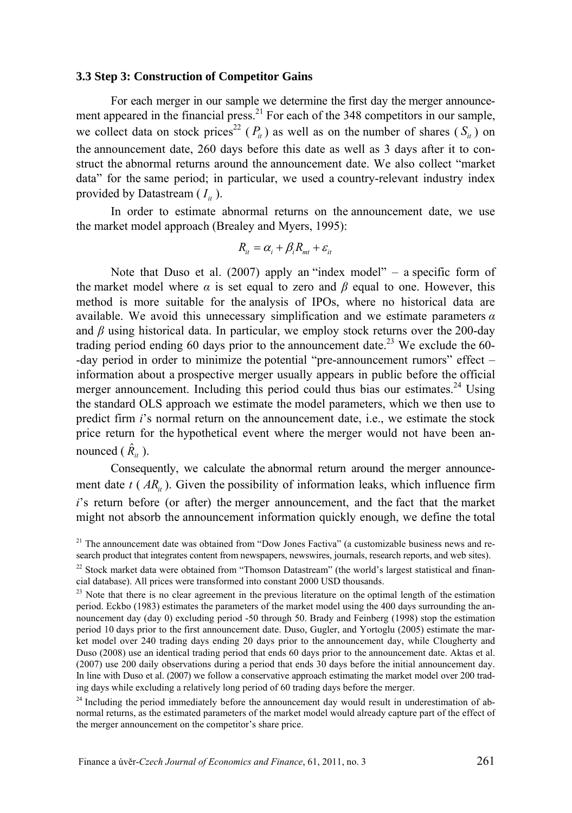#### **3.3 Step 3: Construction of Competitor Gains**

For each merger in our sample we determine the first day the merger announcement appeared in the financial press.<sup>21</sup> For each of the 348 competitors in our sample, we collect data on stock prices<sup>22</sup> ( $P_i$ ) as well as on the number of shares ( $S_i$ ) on the announcement date, 260 days before this date as well as 3 days after it to construct the abnormal returns around the announcement date. We also collect "market data" for the same period; in particular, we used a country-relevant industry index provided by Datastream  $(I_{it})$ .

In order to estimate abnormal returns on the announcement date, we use the market model approach (Brealey and Myers, 1995):

$$
R_{it} = \alpha_i + \beta_i R_{mt} + \varepsilon_{it}
$$

Note that Duso et al. (2007) apply an "index model" – a specific form of the market model where  $\alpha$  is set equal to zero and  $\beta$  equal to one. However, this method is more suitable for the analysis of IPOs, where no historical data are available. We avoid this unnecessary simplification and we estimate parameters *α* and  $\beta$  using historical data. In particular, we employ stock returns over the 200-day trading period ending 60 days prior to the announcement date.<sup>23</sup> We exclude the 60--day period in order to minimize the potential "pre-announcement rumors" effect – information about a prospective merger usually appears in public before the official merger announcement. Including this period could thus bias our estimates.<sup>24</sup> Using the standard OLS approach we estimate the model parameters, which we then use to predict firm *i*'s normal return on the announcement date, i.e., we estimate the stock price return for the hypothetical event where the merger would not have been announced  $(\hat{R}_{it})$ .

Consequently, we calculate the abnormal return around the merger announcement date  $t(A_{i}R_{i})$ . Given the possibility of information leaks, which influence firm *i*'s return before (or after) the merger announcement, and the fact that the market might not absorb the announcement information quickly enough, we define the total

 $24$  Including the period immediately before the announcement day would result in underestimation of abnormal returns, as the estimated parameters of the market model would already capture part of the effect of the merger announcement on the competitor's share price.

 $21$  The announcement date was obtained from "Dow Jones Factiva" (a customizable business news and research product that integrates content from newspapers, newswires, journals, research reports, and web sites).

 $^{22}$  Stock market data were obtained from "Thomson Datastream" (the world's largest statistical and finan-<br>cial database). All prices were transformed into constant 2000 USD thousands.

 $^{23}$  Note that there is no clear agreement in the previous literature on the optimal length of the estimation period. Eckbo (1983) estimates the parameters of the market model using the 400 days surrounding the announcement day (day 0) excluding period -50 through 50. Brady and Feinberg (1998) stop the estimation period 10 days prior to the first announcement date. Duso, Gugler, and Yortoglu (2005) estimate the market model over 240 trading days ending 20 days prior to the announcement day, while Clougherty and Duso (2008) use an identical trading period that ends 60 days prior to the announcement date. Aktas et al. (2007) use 200 daily observations during a period that ends 30 days before the initial announcement day. In line with Duso et al. (2007) we follow a conservative approach estimating the market model over 200 trading days while excluding a relatively long period of 60 trading days before the merger.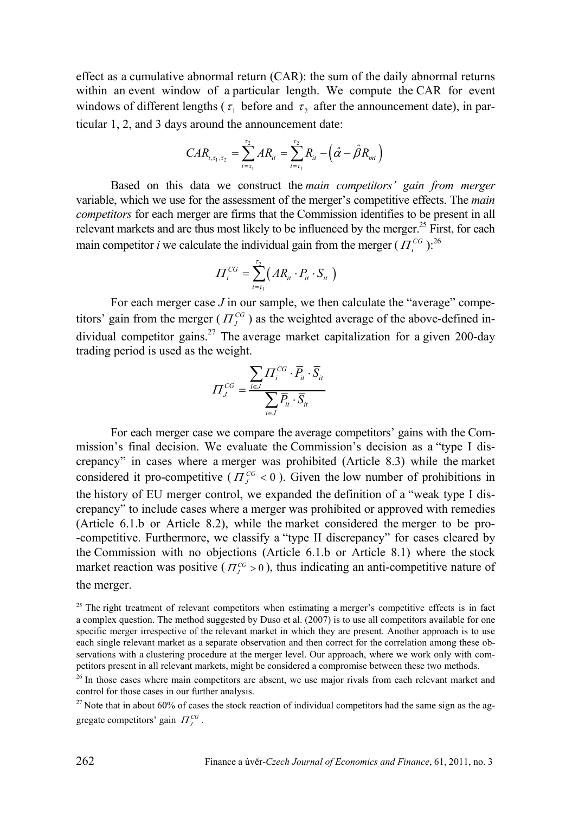effect as a cumulative abnormal return (CAR): the sum of the daily abnormal returns within an event window of a particular length. We compute the CAR for event windows of different lengths ( $\tau_1$  before and  $\tau_2$  after the announcement date), in particular 1, 2, and 3 days around the announcement date:

$$
CAR_{i, \tau_1, \tau_2} = \sum_{t=\tau_1}^{\tau_2} AR_{it} = \sum_{t=\tau_1}^{\tau_2} R_{it} - (\hat{\alpha} - \hat{\beta} R_{mt})
$$

Based on this data we construct the *main competitors' gain from merger* variable, which we use for the assessment of the merger's competitive effects. The *main competitors* for each merger are firms that the Commission identifies to be present in all relevant markets and are thus most likely to be influenced by the merger.<sup>25</sup> First, for each main competitor *i* we calculate the individual gain from the merger ( $\overline{H}^{CG}$ ).<sup>26</sup>

$$
\Pi_i^{CG} = \sum_{t=\tau_1}^{\tau_2} \bigl( AR_{it} \cdot P_{it} \cdot S_{it} \bigr)
$$

For each merger case *J* in our sample, we then calculate the "average" competitors' gain from the merger ( $\Pi_I^{CG}$ ) as the weighted average of the above-defined individual competitor gains.<sup>27</sup> The average market capitalization for a given 200-day trading period is used as the weight.

$$
\Pi_j^{CG} = \frac{\sum_{i \in J} \Pi_i^{CG} \cdot \overline{P}_{ii} \cdot \overline{S}_{ii}}{\sum_{i \in J} \overline{P}_{ii} \cdot \overline{S}_{ii}}
$$

For each merger case we compare the average competitors' gains with the Commission's final decision. We evaluate the Commission's decision as a "type I discrepancy" in cases where a merger was prohibited (Article 8.3) while the market considered it pro-competitive ( $\Pi_I^{CG}$  < 0). Given the low number of prohibitions in the history of EU merger control, we expanded the definition of a "weak type I discrepancy" to include cases where a merger was prohibited or approved with remedies (Article 6.1.b or Article 8.2), while the market considered the merger to be pro- -competitive. Furthermore, we classify a "type II discrepancy" for cases cleared by the Commission with no objections (Article 6.1.b or Article 8.1) where the stock market reaction was positive ( $\Pi^{CG}_I > 0$ ), thus indicating an anti-competitive nature of the merger.

 $25$  The right treatment of relevant competitors when estimating a merger's competitive effects is in fact a complex question. The method suggested by Duso et al. (2007) is to use all competitors available for one specific merger irrespective of the relevant market in which they are present. Another approach is to use each single relevant market as a separate observation and then correct for the correlation among these observations with a clustering procedure at the merger level. Our approach, where we work only with competitors present in all relevant markets, might be considered a compromise between these two methods.

 $26$  In those cases where main competitors are absent, we use major rivals from each relevant market and control for those cases in our further analysis.

<sup>&</sup>lt;sup>27</sup> Note that in about 60% of cases the stock reaction of individual competitors had the same sign as the aggregate competitors' gain  $\Pi_i^{CG}$ .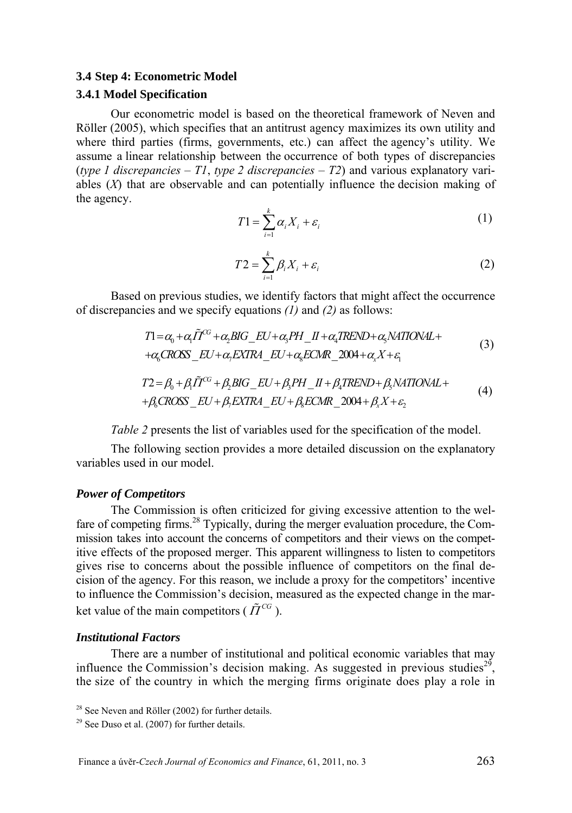#### **3.4 Step 4: Econometric Model**

#### **3.4.1 Model Specification**

Our econometric model is based on the theoretical framework of Neven and Röller (2005), which specifies that an antitrust agency maximizes its own utility and where third parties (firms, governments, etc.) can affect the agency's utility. We assume a linear relationship between the occurrence of both types of discrepancies (*type 1 discrepancies* – *T1*, *type 2 discrepancies – T2*) and various explanatory variables (*X*) that are observable and can potentially influence the decision making of the agency.

$$
T1 = \sum_{i=1}^{k} \alpha_i X_i + \varepsilon_i \tag{1}
$$

$$
T2 = \sum_{i=1}^{k} \beta_i X_i + \varepsilon_i \tag{2}
$$

Based on previous studies, we identify factors that might affect the occurrence of discrepancies and we specify equations *(1)* and *(2)* as follows:

$$
T1 = \alpha_0 + \alpha_1 \tilde{T}^C + \alpha_2 BIG\_EU + \alpha_3 PH\_II + \alpha_4 TREND + \alpha_5 NATIONAL ++ \alpha_6 CROS\_EU + \alpha_7 EXTRA\_EU + \alpha_8 ECMR\_2004 + \alpha_7 X + \epsilon_1
$$
\n(3)

$$
T2 = \beta_0 + \beta_1 \tilde{T}^{CG} + \beta_2 BIG\_EU + \beta_3 PH\_II + \beta_4 TREND + \beta_5 NATIONAL ++ \beta_6 CROS\_EU + \beta_5 EXTRA\_EU + \beta_5 ECMR\_2004 + \beta_5 X + \varepsilon_2
$$
 (4)

*Table 2* presents the list of variables used for the specification of the model.

The following section provides a more detailed discussion on the explanatory variables used in our model.

#### *Power of Competitors*

The Commission is often criticized for giving excessive attention to the welfare of competing firms.<sup>28</sup> Typically, during the merger evaluation procedure, the Commission takes into account the concerns of competitors and their views on the competitive effects of the proposed merger. This apparent willingness to listen to competitors gives rise to concerns about the possible influence of competitors on the final decision of the agency. For this reason, we include a proxy for the competitors' incentive to influence the Commission's decision, measured as the expected change in the market value of the main competitors ( $\tilde{\Pi}^{CG}$ ).

#### *Institutional Factors*

There are a number of institutional and political economic variables that may influence the Commission's decision making. As suggested in previous studies<sup>29</sup>, the size of the country in which the merging firms originate does play a role in

<sup>&</sup>lt;sup>28</sup> See Neven and Röller (2002) for further details.

 $29$  See Duso et al. (2007) for further details.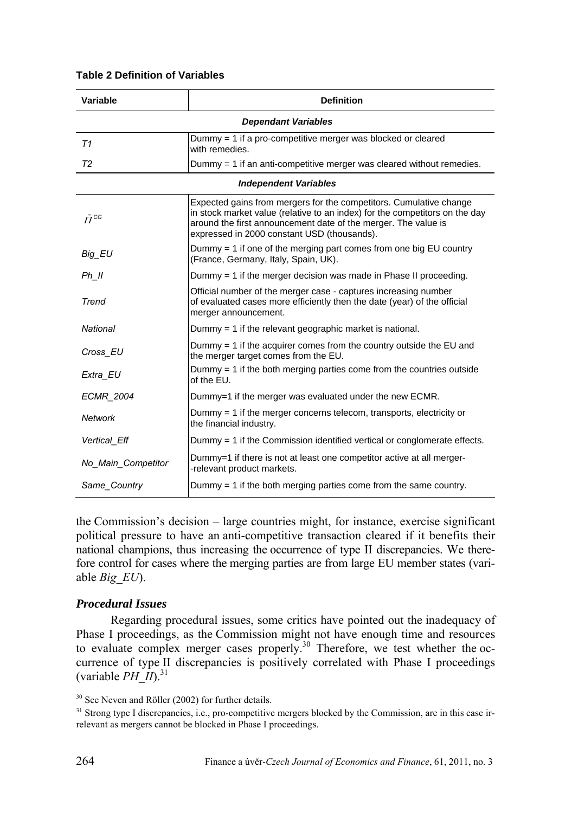#### **Table 2 Definition of Variables**

| Variable           | <b>Definition</b>                                                                                                                                                                                                                                                  |
|--------------------|--------------------------------------------------------------------------------------------------------------------------------------------------------------------------------------------------------------------------------------------------------------------|
|                    | <b>Dependant Variables</b>                                                                                                                                                                                                                                         |
| T1                 | Dummy = 1 if a pro-competitive merger was blocked or cleared<br>with remedies.                                                                                                                                                                                     |
| T <sub>2</sub>     | Dummy = 1 if an anti-competitive merger was cleared without remedies.                                                                                                                                                                                              |
|                    | <b>Independent Variables</b>                                                                                                                                                                                                                                       |
| $\tilde{\Pi}^{CG}$ | Expected gains from mergers for the competitors. Cumulative change<br>in stock market value (relative to an index) for the competitors on the day<br>around the first announcement date of the merger. The value is<br>expressed in 2000 constant USD (thousands). |
| Big EU             | Dummy $= 1$ if one of the merging part comes from one big EU country<br>(France, Germany, Italy, Spain, UK).                                                                                                                                                       |
| Ph II              | Dummy $=$ 1 if the merger decision was made in Phase II proceeding.                                                                                                                                                                                                |
| Trend              | Official number of the merger case - captures increasing number<br>of evaluated cases more efficiently then the date (year) of the official<br>merger announcement.                                                                                                |
| <b>National</b>    | Dummy $=$ 1 if the relevant geographic market is national.                                                                                                                                                                                                         |
| Cross EU           | Dummy $=$ 1 if the acquirer comes from the country outside the EU and<br>the merger target comes from the EU.                                                                                                                                                      |
| Extra EU           | Dummy $=$ 1 if the both merging parties come from the countries outside<br>of the EU.                                                                                                                                                                              |
| <b>ECMR 2004</b>   | Dummy=1 if the merger was evaluated under the new ECMR.                                                                                                                                                                                                            |
| Network            | Dummy $=$ 1 if the merger concerns telecom, transports, electricity or<br>the financial industry.                                                                                                                                                                  |
| Vertical Eff       | Dummy = 1 if the Commission identified vertical or conglomerate effects.                                                                                                                                                                                           |
| No Main Competitor | Dummy=1 if there is not at least one competitor active at all merger-<br>-relevant product markets.                                                                                                                                                                |
| Same_Country       | Dummy $=$ 1 if the both merging parties come from the same country.                                                                                                                                                                                                |

the Commission's decision – large countries might, for instance, exercise significant political pressure to have an anti-competitive transaction cleared if it benefits their national champions, thus increasing the occurrence of type II discrepancies. We therefore control for cases where the merging parties are from large EU member states (variable *Big\_EU*).

#### *Procedural Issues*

Regarding procedural issues, some critics have pointed out the inadequacy of Phase I proceedings, as the Commission might not have enough time and resources to evaluate complex merger cases properly.<sup>30</sup> Therefore, we test whether the occurrence of type II discrepancies is positively correlated with Phase I proceedings (variable  $PH$  II).<sup>31</sup>

<sup>&</sup>lt;sup>30</sup> See Neven and Röller (2002) for further details.

<sup>&</sup>lt;sup>31</sup> Strong type I discrepancies, i.e., pro-competitive mergers blocked by the Commission, are in this case irrelevant as mergers cannot be blocked in Phase I proceedings.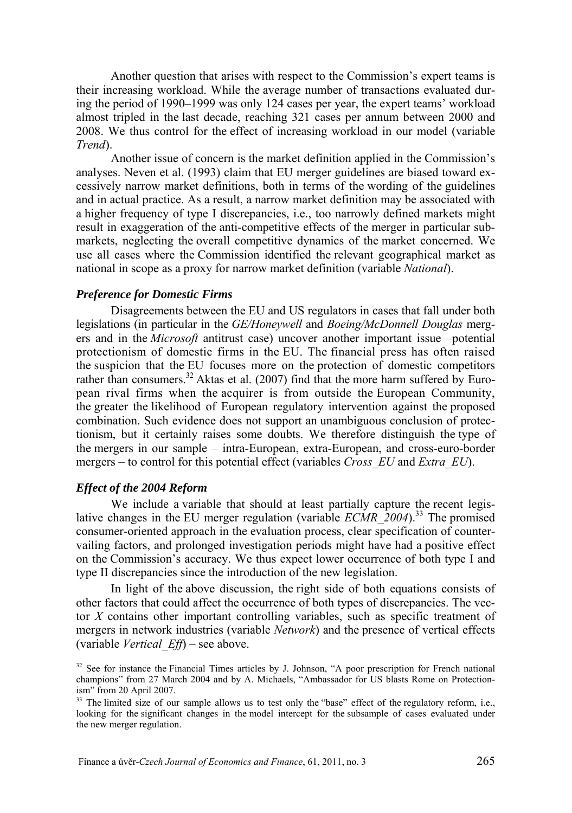Another question that arises with respect to the Commission's expert teams is their increasing workload. While the average number of transactions evaluated during the period of 1990–1999 was only 124 cases per year, the expert teams' workload almost tripled in the last decade, reaching 321 cases per annum between 2000 and 2008. We thus control for the effect of increasing workload in our model (variable *Trend*).

Another issue of concern is the market definition applied in the Commission's analyses. Neven et al. (1993) claim that EU merger guidelines are biased toward excessively narrow market definitions, both in terms of the wording of the guidelines and in actual practice. As a result, a narrow market definition may be associated with a higher frequency of type I discrepancies, i.e., too narrowly defined markets might result in exaggeration of the anti-competitive effects of the merger in particular submarkets, neglecting the overall competitive dynamics of the market concerned. We use all cases where the Commission identified the relevant geographical market as national in scope as a proxy for narrow market definition (variable *National*).

#### *Preference for Domestic Firms*

Disagreements between the EU and US regulators in cases that fall under both legislations (in particular in the *GE/Honeywell* and *Boeing/McDonnell Douglas* mergers and in the *Microsoft* antitrust case) uncover another important issue –potential protectionism of domestic firms in the EU. The financial press has often raised the suspicion that the EU focuses more on the protection of domestic competitors rather than consumers.<sup>32</sup> Aktas et al. (2007) find that the more harm suffered by European rival firms when the acquirer is from outside the European Community, the greater the likelihood of European regulatory intervention against the proposed combination. Such evidence does not support an unambiguous conclusion of protectionism, but it certainly raises some doubts. We therefore distinguish the type of the mergers in our sample – intra-European, extra-European, and cross-euro-border mergers – to control for this potential effect (variables *Cross\_EU* and *Extra\_EU*).

#### *Effect of the 2004 Reform*

We include a variable that should at least partially capture the recent legislative changes in the EU merger regulation (variable *ECMR\_2004*).33 The promised consumer-oriented approach in the evaluation process, clear specification of countervailing factors, and prolonged investigation periods might have had a positive effect on the Commission's accuracy. We thus expect lower occurrence of both type I and type II discrepancies since the introduction of the new legislation.

In light of the above discussion, the right side of both equations consists of other factors that could affect the occurrence of both types of discrepancies. The vector *X* contains other important controlling variables, such as specific treatment of mergers in network industries (variable *Network*) and the presence of vertical effects (variable *Vertical\_Eff*) – see above.

 $32$  See for instance the Financial Times articles by J. Johnson, "A poor prescription for French national champions" from 27 March 2004 and by A. Michaels, "Ambassador for US blasts Rome on Protectionism" from 20 April 2007.

<sup>&</sup>lt;sup>33</sup> The limited size of our sample allows us to test only the "base" effect of the regulatory reform, i.e., looking for the significant changes in the model intercept for the subsample of cases evaluated under the new merger regulation.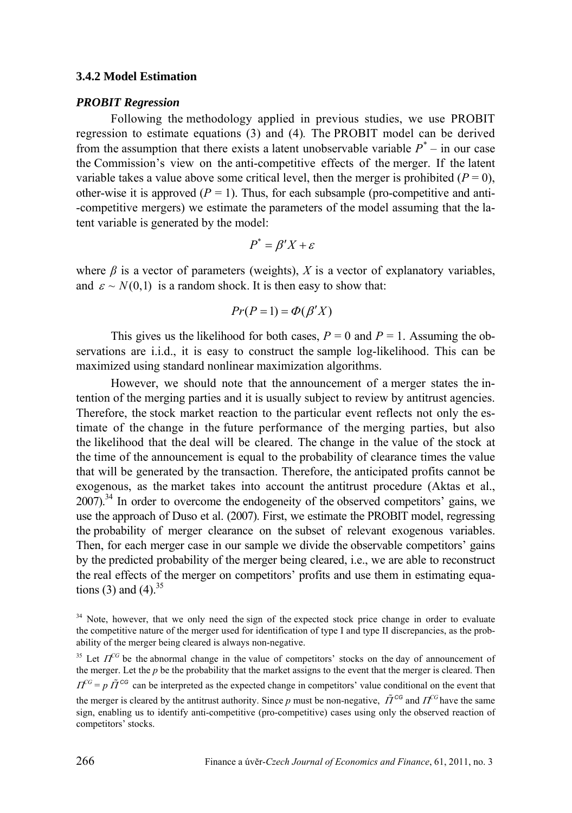#### **3.4.2 Model Estimation**

#### *PROBIT Regression*

Following the methodology applied in previous studies, we use PROBIT regression to estimate equations (3) and (4)*.* The PROBIT model can be derived from the assumption that there exists a latent unobservable variable  $P^*$  – in our case the Commission's view on the anti-competitive effects of the merger. If the latent variable takes a value above some critical level, then the merger is prohibited  $(P = 0)$ , other-wise it is approved  $(P = 1)$ . Thus, for each subsample (pro-competitive and anti--competitive mergers) we estimate the parameters of the model assuming that the latent variable is generated by the model:

$$
P^* = \beta' X + \varepsilon
$$

where  $\beta$  is a vector of parameters (weights),  $X$  is a vector of explanatory variables, and  $\varepsilon \sim N(0,1)$  is a random shock. It is then easy to show that:

$$
Pr(P = 1) = \Phi(\beta'X)
$$

This gives us the likelihood for both cases,  $P = 0$  and  $P = 1$ . Assuming the observations are i.i.d., it is easy to construct the sample log-likelihood. This can be maximized using standard nonlinear maximization algorithms.

However, we should note that the announcement of a merger states the intention of the merging parties and it is usually subject to review by antitrust agencies. Therefore, the stock market reaction to the particular event reflects not only the estimate of the change in the future performance of the merging parties, but also the likelihood that the deal will be cleared. The change in the value of the stock at the time of the announcement is equal to the probability of clearance times the value that will be generated by the transaction. Therefore, the anticipated profits cannot be exogenous, as the market takes into account the antitrust procedure (Aktas et al.,  $2007$ ).<sup>34</sup> In order to overcome the endogeneity of the observed competitors' gains, we use the approach of Duso et al. (2007). First, we estimate the PROBIT model, regressing the probability of merger clearance on the subset of relevant exogenous variables. Then, for each merger case in our sample we divide the observable competitors' gains by the predicted probability of the merger being cleared, i.e., we are able to reconstruct the real effects of the merger on competitors' profits and use them in estimating equations (3) and (4).  $35$ 

<sup>&</sup>lt;sup>34</sup> Note, however, that we only need the sign of the expected stock price change in order to evaluate the competitive nature of the merger used for identification of type I and type II discrepancies, as the probability of the merger being cleared is always non-negative.

<sup>&</sup>lt;sup>35</sup> Let  $\Pi$ <sup>CG</sup> be the abnormal change in the value of competitors' stocks on the day of announcement of the merger. Let the *p* be the probability that the market assigns to the event that the merger is cleared. Then  $\Pi^{CG} = p \tilde{\Pi}^{CG}$  can be interpreted as the expected change in competitors' value conditional on the event that the merger is cleared by the antitrust authority. Since p must be non-negative,  $\tilde{\Pi}^{CG}$  and  $\Pi^{CG}$  have the same sign, enabling us to identify anti-competitive (pro-competitive) cases using only the observed reaction of

competitors' stocks.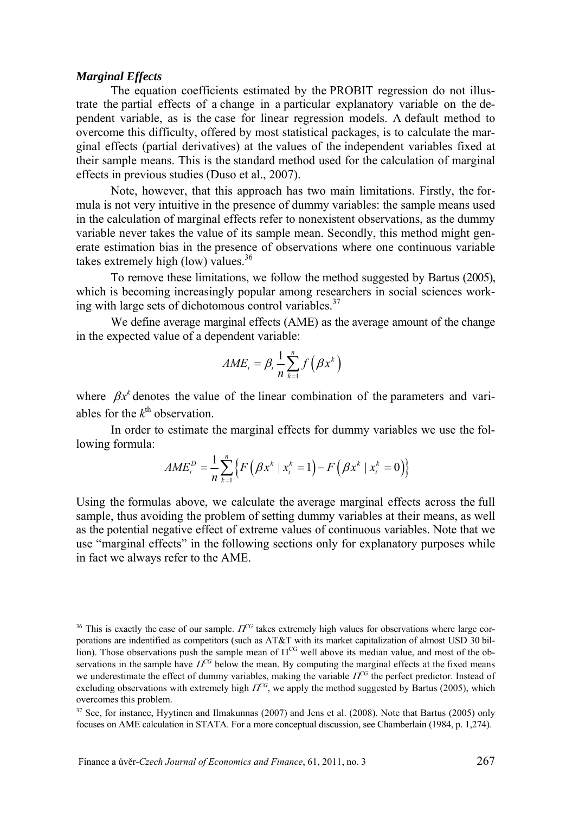#### *Marginal Effects*

The equation coefficients estimated by the PROBIT regression do not illustrate the partial effects of a change in a particular explanatory variable on the dependent variable, as is the case for linear regression models. A default method to overcome this difficulty, offered by most statistical packages, is to calculate the marginal effects (partial derivatives) at the values of the independent variables fixed at their sample means. This is the standard method used for the calculation of marginal effects in previous studies (Duso et al., 2007).

Note, however, that this approach has two main limitations. Firstly, the formula is not very intuitive in the presence of dummy variables: the sample means used in the calculation of marginal effects refer to nonexistent observations, as the dummy variable never takes the value of its sample mean. Secondly, this method might generate estimation bias in the presence of observations where one continuous variable takes extremely high (low) values. $36$ 

To remove these limitations, we follow the method suggested by Bartus (2005), which is becoming increasingly popular among researchers in social sciences working with large sets of dichotomous control variables. $37$ 

We define average marginal effects (AME) as the average amount of the change in the expected value of a dependent variable:

$$
AME_i = \beta_i \, \frac{1}{n} \sum_{k=1}^n f\!\left(\beta x^k\right)
$$

where  $\beta x^k$  denotes the value of the linear combination of the parameters and variables for the  $k^{\text{th}}$  observation.

In order to estimate the marginal effects for dummy variables we use the following formula:

$$
AME^D_i = \frac{1}{n}\sum_{k=1}^n \left\{F\Big(\beta x^k \mid x^k_i = 1\Big) {-} F\Big(\beta x^k \mid x^k_i = 0\Big)\right\}
$$

Using the formulas above, we calculate the average marginal effects across the full sample, thus avoiding the problem of setting dummy variables at their means, as well as the potential negative effect of extreme values of continuous variables. Note that we use "marginal effects" in the following sections only for explanatory purposes while in fact we always refer to the AME.

<sup>&</sup>lt;sup>36</sup> This is exactly the case of our sample.  $\Pi^{CG}$  takes extremely high values for observations where large corporations are indentified as competitors (such as AT&T with its market capitalization of almost USD 30 billion). Those observations push the sample mean of  $\Pi^{\text{CG}}$  well above its median value, and most of the observations in the sample have  $I\bar{f}^{C}$  below the mean. By computing the marginal effects at the fixed means we underestimate the effect of dummy variables, making the variable  $\Pi^G$  the perfect predictor. Instead of excluding observations with extremely high  $\Pi^{CG}$ , we apply the method suggested by Bartus (2005), which overcomes this problem.

<sup>&</sup>lt;sup>37</sup> See, for instance, Hyytinen and Ilmakunnas (2007) and Jens et al. (2008). Note that Bartus (2005) only focuses on AME calculation in STATA. For a more conceptual discussion, see Chamberlain (1984, p. 1,274).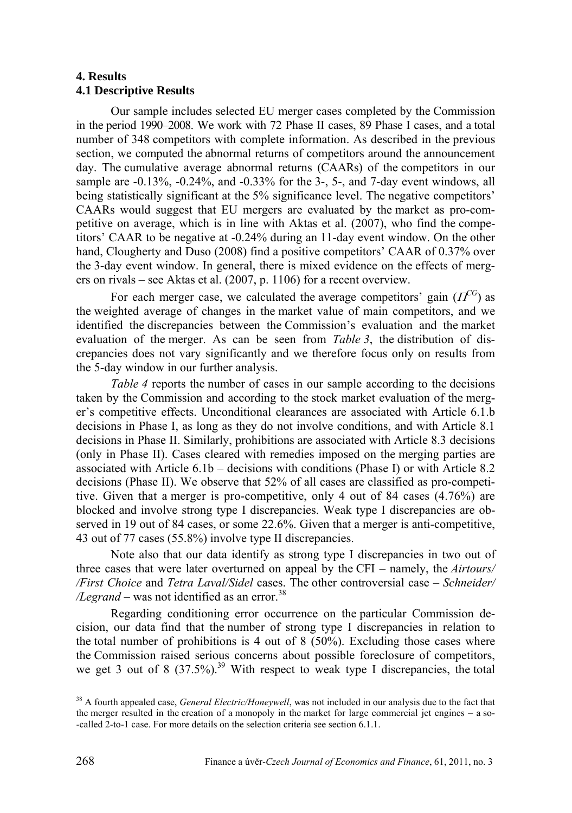## **4. Results 4.1 Descriptive Results**

Our sample includes selected EU merger cases completed by the Commission in the period 1990–2008. We work with 72 Phase II cases, 89 Phase I cases, and a total number of 348 competitors with complete information. As described in the previous section, we computed the abnormal returns of competitors around the announcement day. The cumulative average abnormal returns (CAARs) of the competitors in our sample are -0.13%, -0.24%, and -0.33% for the 3-, 5-, and 7-day event windows, all being statistically significant at the 5% significance level. The negative competitors' CAARs would suggest that EU mergers are evaluated by the market as pro-competitive on average, which is in line with Aktas et al. (2007), who find the competitors' CAAR to be negative at -0.24% during an 11-day event window. On the other hand, Clougherty and Duso (2008) find a positive competitors' CAAR of 0.37% over the 3-day event window. In general, there is mixed evidence on the effects of mergers on rivals – see Aktas et al. (2007, p. 1106) for a recent overview.

For each merger case, we calculated the average competitors' gain  $(\Pi^{CG})$  as the weighted average of changes in the market value of main competitors, and we identified the discrepancies between the Commission's evaluation and the market evaluation of the merger. As can be seen from *Table 3*, the distribution of discrepancies does not vary significantly and we therefore focus only on results from the 5-day window in our further analysis.

*Table 4* reports the number of cases in our sample according to the decisions taken by the Commission and according to the stock market evaluation of the merger's competitive effects. Unconditional clearances are associated with Article 6.1.b decisions in Phase I, as long as they do not involve conditions, and with Article 8.1 decisions in Phase II. Similarly, prohibitions are associated with Article 8.3 decisions (only in Phase II). Cases cleared with remedies imposed on the merging parties are associated with Article 6.1b – decisions with conditions (Phase I) or with Article 8.2 decisions (Phase II). We observe that 52% of all cases are classified as pro-competitive. Given that a merger is pro-competitive, only 4 out of 84 cases (4.76%) are blocked and involve strong type I discrepancies. Weak type I discrepancies are observed in 19 out of 84 cases, or some 22.6%. Given that a merger is anti-competitive, 43 out of 77 cases (55.8%) involve type II discrepancies.

Note also that our data identify as strong type I discrepancies in two out of three cases that were later overturned on appeal by the CFI – namely, the *Airtours/ /First Choice* and *Tetra Laval/Sidel* cases. The other controversial case – *Schneider/*   $\lambda$ *Legrand* – was not identified as an error.<sup>38</sup>

Regarding conditioning error occurrence on the particular Commission decision, our data find that the number of strong type I discrepancies in relation to the total number of prohibitions is 4 out of 8 (50%). Excluding those cases where the Commission raised serious concerns about possible foreclosure of competitors, we get 3 out of 8  $(37.5\%)$ <sup>39</sup> With respect to weak type I discrepancies, the total

<sup>38</sup> A fourth appealed case, *General Electric/Honeywell*, was not included in our analysis due to the fact that the merger resulted in the creation of a monopoly in the market for large commercial jet engines – a so- -called 2-to-1 case. For more details on the selection criteria see section 6.1.1.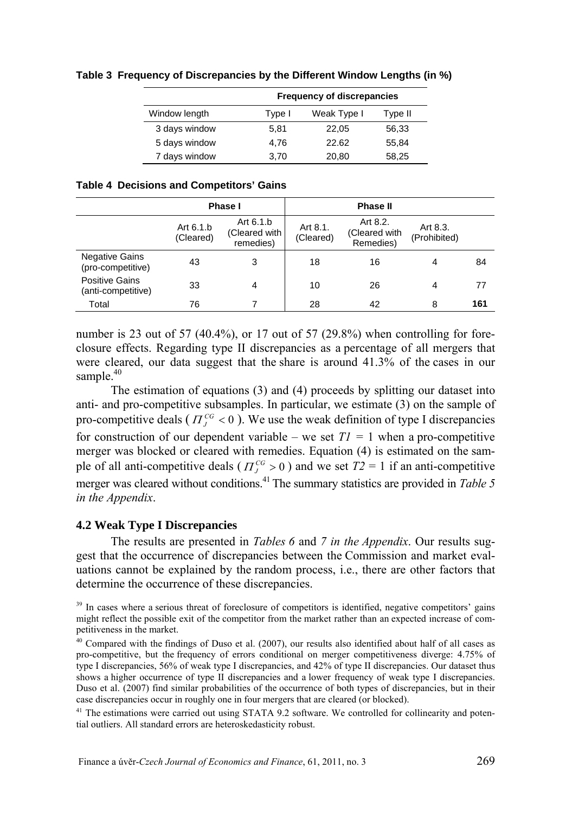|               | <b>Frequency of discrepancies</b> |             |         |  |  |  |  |  |
|---------------|-----------------------------------|-------------|---------|--|--|--|--|--|
| Window length | Type I                            | Weak Type I | Type II |  |  |  |  |  |
| 3 days window | 5.81                              | 22.05       | 56.33   |  |  |  |  |  |
| 5 days window | 4.76                              | 22.62       | 55.84   |  |  |  |  |  |
| 7 days window | 3.70                              | 20,80       | 58.25   |  |  |  |  |  |

**Table 3 Frequency of Discrepancies by the Different Window Lengths (in %)** 

|                                            |                        | Phase I                                 |                       | <b>Phase II</b>                        |                          |     |
|--------------------------------------------|------------------------|-----------------------------------------|-----------------------|----------------------------------------|--------------------------|-----|
|                                            | Art 6.1.b<br>(Cleared) | Art 6.1.b<br>(Cleared with<br>remedies) | Art 8.1.<br>(Cleared) | Art 8.2.<br>(Cleared with<br>Remedies) | Art 8.3.<br>(Prohibited) |     |
| <b>Negative Gains</b><br>(pro-competitive) | 43                     | 3                                       | 18                    | 16                                     | 4                        | 84  |
| Positive Gains<br>(anti-competitive)       | 33                     | $\overline{4}$                          | 10                    | 26                                     | 4                        | 77  |
| Total                                      | 76                     |                                         | 28                    | 42                                     | 8                        | 161 |

number is 23 out of 57 (40.4%), or 17 out of 57 (29.8%) when controlling for foreclosure effects. Regarding type II discrepancies as a percentage of all mergers that were cleared, our data suggest that the share is around 41.3% of the cases in our sample. $40$ 

The estimation of equations (3) and (4) proceeds by splitting our dataset into anti- and pro-competitive subsamples. In particular, we estimate (3) on the sample of pro-competitive deals ( $\Pi^{CG}_I < 0$ ). We use the weak definition of type I discrepancies for construction of our dependent variable – we set  $TI = 1$  when a pro-competitive merger was blocked or cleared with remedies. Equation (4) is estimated on the sample of all anti-competitive deals ( $\Pi_J^{CG} > 0$ ) and we set  $T2 = 1$  if an anti-competitive merger was cleared without conditions.41 The summary statistics are provided in *Table 5 in the Appendix*.

#### **4.2 Weak Type I Discrepancies**

The results are presented in *Tables 6* and *7 in the Appendix*. Our results suggest that the occurrence of discrepancies between the Commission and market evaluations cannot be explained by the random process, i.e., there are other factors that determine the occurrence of these discrepancies.

tial outliers. All standard errors are heteroskedasticity robust.

<sup>&</sup>lt;sup>39</sup> In cases where a serious threat of foreclosure of competitors is identified, negative competitors' gains might reflect the possible exit of the competitor from the market rather than an expected increase of competitiveness in the market.

 $40$  Compared with the findings of Duso et al. (2007), our results also identified about half of all cases as pro-competitive, but the frequency of errors conditional on merger competitiveness diverge: 4.75% of type I discrepancies, 56% of weak type I discrepancies, and 42% of type II discrepancies. Our dataset thus shows a higher occurrence of type II discrepancies and a lower frequency of weak type I discrepancies. Duso et al. (2007) find similar probabilities of the occurrence of both types of discrepancies, but in their case discrepancies occur in roughly one in four mergers that are cleared (or blocked).<br><sup>41</sup> The estimations were carried out using STATA 9.2 software. We controlled for collinearity and poten-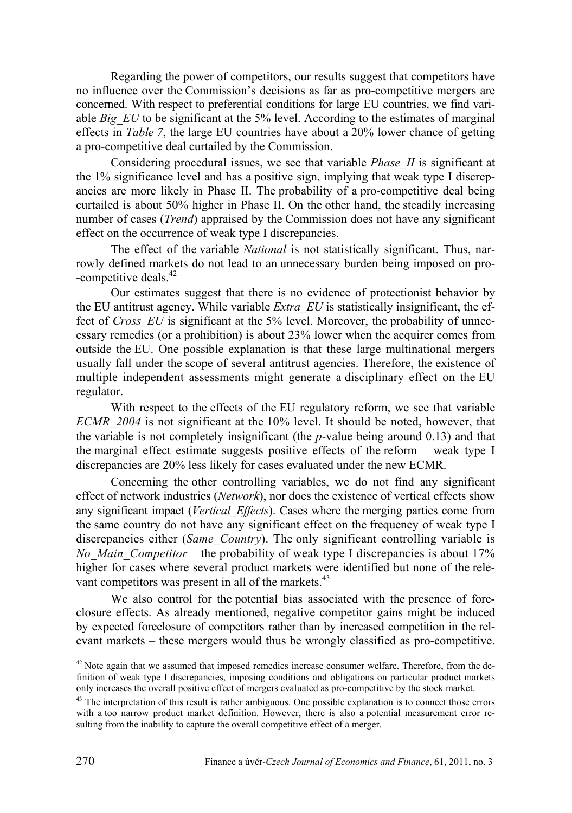Regarding the power of competitors, our results suggest that competitors have no influence over the Commission's decisions as far as pro-competitive mergers are concerned. With respect to preferential conditions for large EU countries, we find variable *Big EU* to be significant at the 5% level. According to the estimates of marginal effects in *Table 7*, the large EU countries have about a 20% lower chance of getting a pro-competitive deal curtailed by the Commission.

Considering procedural issues, we see that variable *Phase\_II* is significant at the 1% significance level and has a positive sign, implying that weak type I discrepancies are more likely in Phase II. The probability of a pro-competitive deal being curtailed is about 50% higher in Phase II. On the other hand, the steadily increasing number of cases (*Trend*) appraised by the Commission does not have any significant effect on the occurrence of weak type I discrepancies.

The effect of the variable *National* is not statistically significant. Thus, narrowly defined markets do not lead to an unnecessary burden being imposed on pro- -competitive deals.<sup>42</sup>

Our estimates suggest that there is no evidence of protectionist behavior by the EU antitrust agency. While variable *Extra\_EU* is statistically insignificant, the effect of *Cross* EU is significant at the 5% level. Moreover, the probability of unnecessary remedies (or a prohibition) is about 23% lower when the acquirer comes from outside the EU. One possible explanation is that these large multinational mergers usually fall under the scope of several antitrust agencies. Therefore, the existence of multiple independent assessments might generate a disciplinary effect on the EU regulator.

With respect to the effects of the EU regulatory reform, we see that variable *ECMR\_2004* is not significant at the 10% level. It should be noted, however, that the variable is not completely insignificant (the *p*-value being around 0.13) and that the marginal effect estimate suggests positive effects of the reform – weak type I discrepancies are 20% less likely for cases evaluated under the new ECMR.

Concerning the other controlling variables, we do not find any significant effect of network industries (*Network*), nor does the existence of vertical effects show any significant impact (*Vertical\_Effects*). Cases where the merging parties come from the same country do not have any significant effect on the frequency of weak type I discrepancies either (*Same\_Country*). The only significant controlling variable is *No\_Main\_Competitor* – the probability of weak type I discrepancies is about 17% higher for cases where several product markets were identified but none of the relevant competitors was present in all of the markets.<sup>43</sup>

We also control for the potential bias associated with the presence of foreclosure effects. As already mentioned, negative competitor gains might be induced by expected foreclosure of competitors rather than by increased competition in the relevant markets – these mergers would thus be wrongly classified as pro-competitive.

 $42$  Note again that we assumed that imposed remedies increase consumer welfare. Therefore, from the definition of weak type I discrepancies, imposing conditions and obligations on particular product markets only increases the overall positive effect of mergers evaluated as pro-competitive by the stock market.

 $^{43}$  The interpretation of this result is rather ambiguous. One possible explanation is to connect those errors with a too narrow product market definition. However, there is also a potential measurement error resulting from the inability to capture the overall competitive effect of a merger.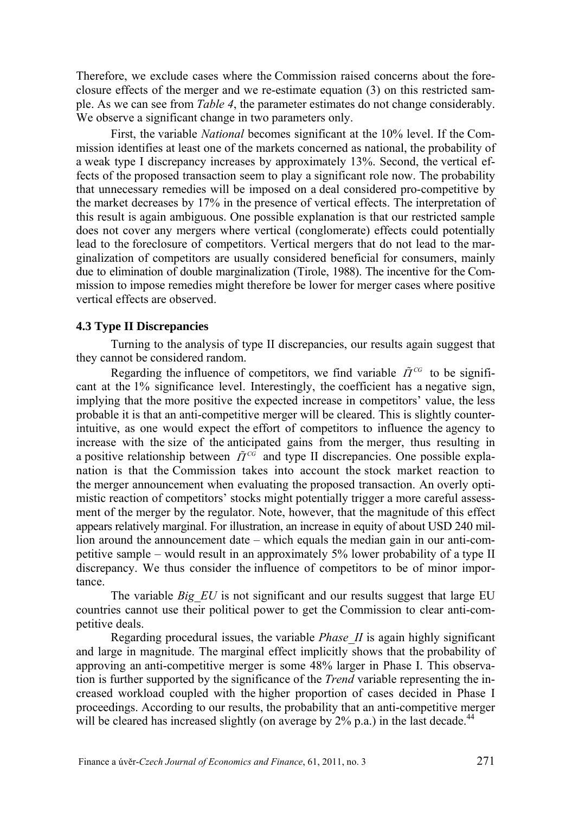Therefore, we exclude cases where the Commission raised concerns about the foreclosure effects of the merger and we re-estimate equation (3) on this restricted sample. As we can see from *Table 4*, the parameter estimates do not change considerably. We observe a significant change in two parameters only.

First, the variable *National* becomes significant at the 10% level. If the Commission identifies at least one of the markets concerned as national, the probability of a weak type I discrepancy increases by approximately 13%. Second, the vertical effects of the proposed transaction seem to play a significant role now. The probability that unnecessary remedies will be imposed on a deal considered pro-competitive by the market decreases by 17% in the presence of vertical effects. The interpretation of this result is again ambiguous. One possible explanation is that our restricted sample does not cover any mergers where vertical (conglomerate) effects could potentially lead to the foreclosure of competitors. Vertical mergers that do not lead to the marginalization of competitors are usually considered beneficial for consumers, mainly due to elimination of double marginalization (Tirole, 1988). The incentive for the Commission to impose remedies might therefore be lower for merger cases where positive vertical effects are observed.

#### **4.3 Type II Discrepancies**

Turning to the analysis of type II discrepancies, our results again suggest that they cannot be considered random.

Regarding the influence of competitors, we find variable  $\tilde{\Pi}^{CG}$  to be significant at the 1% significance level. Interestingly, the coefficient has a negative sign, implying that the more positive the expected increase in competitors' value, the less probable it is that an anti-competitive merger will be cleared. This is slightly counterintuitive, as one would expect the effort of competitors to influence the agency to increase with the size of the anticipated gains from the merger, thus resulting in a positive relationship between  $\tilde{\Pi}^{c\tilde{c}}$  and type II discrepancies. One possible explanation is that the Commission takes into account the stock market reaction to the merger announcement when evaluating the proposed transaction. An overly optimistic reaction of competitors' stocks might potentially trigger a more careful assessment of the merger by the regulator. Note, however, that the magnitude of this effect appears relatively marginal. For illustration, an increase in equity of about USD 240 million around the announcement date – which equals the median gain in our anti-competitive sample – would result in an approximately 5% lower probability of a type II discrepancy. We thus consider the influence of competitors to be of minor importance.

The variable *Big EU* is not significant and our results suggest that large EU countries cannot use their political power to get the Commission to clear anti-competitive deals.

Regarding procedural issues, the variable *Phase\_II* is again highly significant and large in magnitude. The marginal effect implicitly shows that the probability of approving an anti-competitive merger is some 48% larger in Phase I. This observation is further supported by the significance of the *Trend* variable representing the increased workload coupled with the higher proportion of cases decided in Phase I proceedings. According to our results, the probability that an anti-competitive merger will be cleared has increased slightly (on average by  $2\%$  p.a.) in the last decade.<sup>44</sup>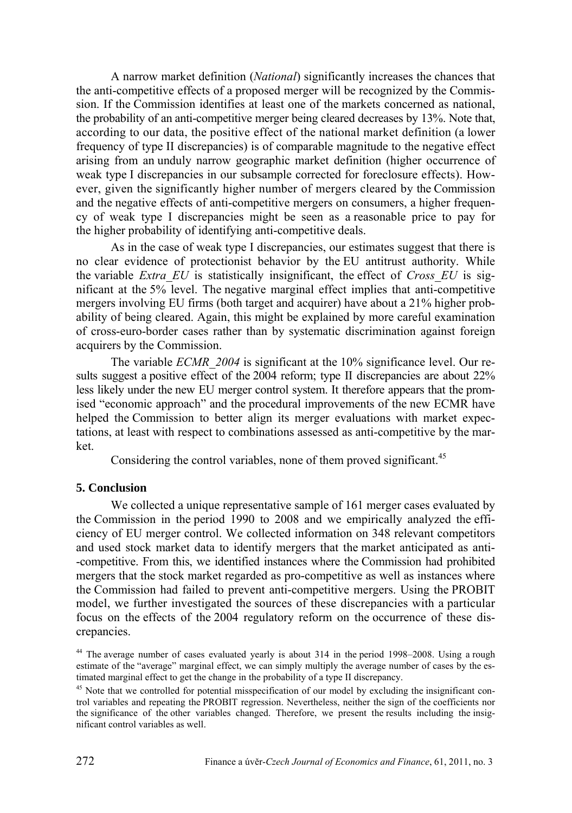A narrow market definition (*National*) significantly increases the chances that the anti-competitive effects of a proposed merger will be recognized by the Commission. If the Commission identifies at least one of the markets concerned as national, the probability of an anti-competitive merger being cleared decreases by 13%. Note that, according to our data, the positive effect of the national market definition (a lower frequency of type II discrepancies) is of comparable magnitude to the negative effect arising from an unduly narrow geographic market definition (higher occurrence of weak type I discrepancies in our subsample corrected for foreclosure effects). However, given the significantly higher number of mergers cleared by the Commission and the negative effects of anti-competitive mergers on consumers, a higher frequency of weak type I discrepancies might be seen as a reasonable price to pay for the higher probability of identifying anti-competitive deals.

As in the case of weak type I discrepancies, our estimates suggest that there is no clear evidence of protectionist behavior by the EU antitrust authority. While the variable *Extra\_EU* is statistically insignificant, the effect of *Cross\_EU* is significant at the 5% level. The negative marginal effect implies that anti-competitive mergers involving EU firms (both target and acquirer) have about a 21% higher probability of being cleared. Again, this might be explained by more careful examination of cross-euro-border cases rather than by systematic discrimination against foreign acquirers by the Commission.

The variable *ECMR\_2004* is significant at the 10% significance level. Our results suggest a positive effect of the 2004 reform; type II discrepancies are about 22% less likely under the new EU merger control system. It therefore appears that the promised "economic approach" and the procedural improvements of the new ECMR have helped the Commission to better align its merger evaluations with market expectations, at least with respect to combinations assessed as anti-competitive by the market.

Considering the control variables, none of them proved significant.<sup>45</sup>

#### **5. Conclusion**

We collected a unique representative sample of 161 merger cases evaluated by the Commission in the period 1990 to 2008 and we empirically analyzed the efficiency of EU merger control. We collected information on 348 relevant competitors and used stock market data to identify mergers that the market anticipated as anti- -competitive. From this, we identified instances where the Commission had prohibited mergers that the stock market regarded as pro-competitive as well as instances where the Commission had failed to prevent anti-competitive mergers. Using the PROBIT model, we further investigated the sources of these discrepancies with a particular focus on the effects of the 2004 regulatory reform on the occurrence of these discrepancies.

<sup>&</sup>lt;sup>44</sup> The average number of cases evaluated yearly is about 314 in the period 1998–2008. Using a rough estimate of the "average" marginal effect, we can simply multiply the average number of cases by the estimated marginal effect to get the change in the probability of a type II discrepancy.<br><sup>45</sup> Note that we controlled for potential misspecification of our model by excluding the insignificant con-

trol variables and repeating the PROBIT regression. Nevertheless, neither the sign of the coefficients nor the significance of the other variables changed. Therefore, we present the results including the insignificant control variables as well.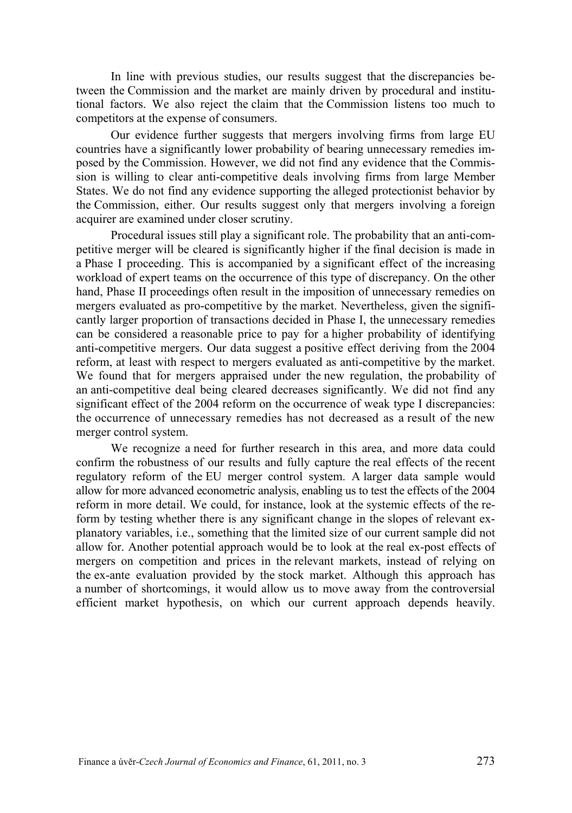In line with previous studies, our results suggest that the discrepancies between the Commission and the market are mainly driven by procedural and institutional factors. We also reject the claim that the Commission listens too much to competitors at the expense of consumers.

Our evidence further suggests that mergers involving firms from large EU countries have a significantly lower probability of bearing unnecessary remedies imposed by the Commission. However, we did not find any evidence that the Commission is willing to clear anti-competitive deals involving firms from large Member States. We do not find any evidence supporting the alleged protectionist behavior by the Commission, either. Our results suggest only that mergers involving a foreign acquirer are examined under closer scrutiny.

Procedural issues still play a significant role. The probability that an anti-competitive merger will be cleared is significantly higher if the final decision is made in a Phase I proceeding. This is accompanied by a significant effect of the increasing workload of expert teams on the occurrence of this type of discrepancy. On the other hand, Phase II proceedings often result in the imposition of unnecessary remedies on mergers evaluated as pro-competitive by the market. Nevertheless, given the significantly larger proportion of transactions decided in Phase I, the unnecessary remedies can be considered a reasonable price to pay for a higher probability of identifying anti-competitive mergers. Our data suggest a positive effect deriving from the 2004 reform, at least with respect to mergers evaluated as anti-competitive by the market. We found that for mergers appraised under the new regulation, the probability of an anti-competitive deal being cleared decreases significantly. We did not find any significant effect of the 2004 reform on the occurrence of weak type I discrepancies: the occurrence of unnecessary remedies has not decreased as a result of the new merger control system.

We recognize a need for further research in this area, and more data could confirm the robustness of our results and fully capture the real effects of the recent regulatory reform of the EU merger control system. A larger data sample would allow for more advanced econometric analysis, enabling us to test the effects of the 2004 reform in more detail. We could, for instance, look at the systemic effects of the reform by testing whether there is any significant change in the slopes of relevant explanatory variables, i.e., something that the limited size of our current sample did not allow for. Another potential approach would be to look at the real ex-post effects of mergers on competition and prices in the relevant markets, instead of relying on the ex-ante evaluation provided by the stock market. Although this approach has a number of shortcomings, it would allow us to move away from the controversial efficient market hypothesis, on which our current approach depends heavily.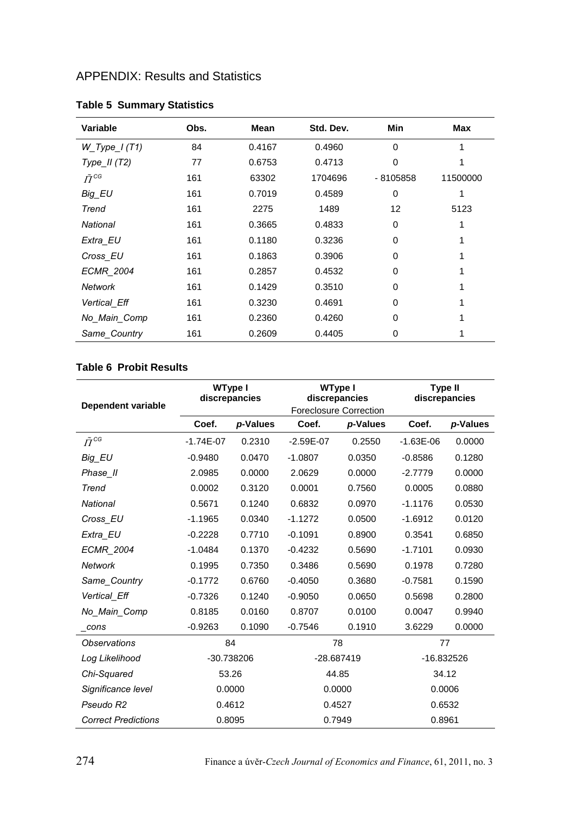# APPENDIX: Results and Statistics

| Variable           | Obs. | Mean   | Std. Dev. | Min        | <b>Max</b> |
|--------------------|------|--------|-----------|------------|------------|
| $W_T$ Type_I (T1)  | 84   | 0.4167 | 0.4960    | $\Omega$   |            |
| Type $II(T2)$      | 77   | 0.6753 | 0.4713    | 0          |            |
| $\tilde{\Pi}^{CG}$ | 161  | 63302  | 1704696   | $-8105858$ | 11500000   |
| Big EU             | 161  | 0.7019 | 0.4589    | 0          |            |
| Trend              | 161  | 2275   | 1489      | 12         | 5123       |
| National           | 161  | 0.3665 | 0.4833    | 0          |            |
| Extra EU           | 161  | 0.1180 | 0.3236    | 0          |            |
| Cross EU           | 161  | 0.1863 | 0.3906    | 0          |            |
| <b>ECMR 2004</b>   | 161  | 0.2857 | 0.4532    | 0          |            |
| Network            | 161  | 0.1429 | 0.3510    | 0          |            |
| Vertical Eff       | 161  | 0.3230 | 0.4691    | 0          |            |
| No Main Comp       | 161  | 0.2360 | 0.4260    | 0          |            |
| Same_Country       | 161  | 0.2609 | 0.4405    | 0          |            |

## **Table 5 Summary Statistics**

## **Table 6 Probit Results**

| Dependent variable         | WType I<br>discrepancies |          | WType I<br>discrepancies        |          | Type II<br>discrepancies |          |
|----------------------------|--------------------------|----------|---------------------------------|----------|--------------------------|----------|
|                            | Coef.                    | p-Values | Foreclosure Correction<br>Coef. | p-Values | Coef.                    | p-Values |
| $\tilde{\Pi}^{CG}$         | $-1.74E-07$              | 0.2310   | $-2.59E - 07$                   | 0.2550   | $-1.63E - 06$            | 0.0000   |
| <b>Big EU</b>              | $-0.9480$                | 0.0470   | $-1.0807$                       | 0.0350   | $-0.8586$                | 0.1280   |
| Phase II                   | 2.0985                   | 0.0000   | 2.0629                          | 0.0000   | $-2.7779$                | 0.0000   |
| Trend                      | 0.0002                   | 0.3120   | 0.0001                          | 0.7560   | 0.0005                   | 0.0880   |
| National                   | 0.5671                   | 0.1240   | 0.6832                          | 0.0970   | $-1.1176$                | 0.0530   |
| Cross EU                   | $-1.1965$                | 0.0340   | $-1.1272$                       | 0.0500   | $-1.6912$                | 0.0120   |
| Extra EU                   | $-0.2228$                | 0.7710   | $-0.1091$                       | 0.8900   | 0.3541                   | 0.6850   |
| <b>ECMR 2004</b>           | $-1.0484$                | 0.1370   | $-0.4232$                       | 0.5690   | $-1.7101$                | 0.0930   |
| Network                    | 0.1995                   | 0.7350   | 0.3486                          | 0.5690   | 0.1978                   | 0.7280   |
| Same Country               | $-0.1772$                | 0.6760   | $-0.4050$                       | 0.3680   | $-0.7581$                | 0.1590   |
| Vertical Eff               | $-0.7326$                | 0.1240   | $-0.9050$                       | 0.0650   | 0.5698                   | 0.2800   |
| No Main Comp               | 0.8185                   | 0.0160   | 0.8707                          | 0.0100   | 0.0047                   | 0.9940   |
| cons                       | $-0.9263$                | 0.1090   | $-0.7546$                       | 0.1910   | 3.6229                   | 0.0000   |
| <b>Observations</b>        | 84                       |          | 78                              |          | 77                       |          |
| Log Likelihood             | -30.738206               |          | -28.687419                      |          | -16.832526               |          |
| Chi-Squared                | 53.26                    |          | 44.85                           |          | 34.12                    |          |
| Significance level         | 0.0000                   |          | 0.0000                          |          | 0.0006                   |          |
| Pseudo R2                  | 0.4612                   |          | 0.4527                          |          | 0.6532                   |          |
| <b>Correct Predictions</b> | 0.8095                   |          | 0.7949                          |          | 0.8961                   |          |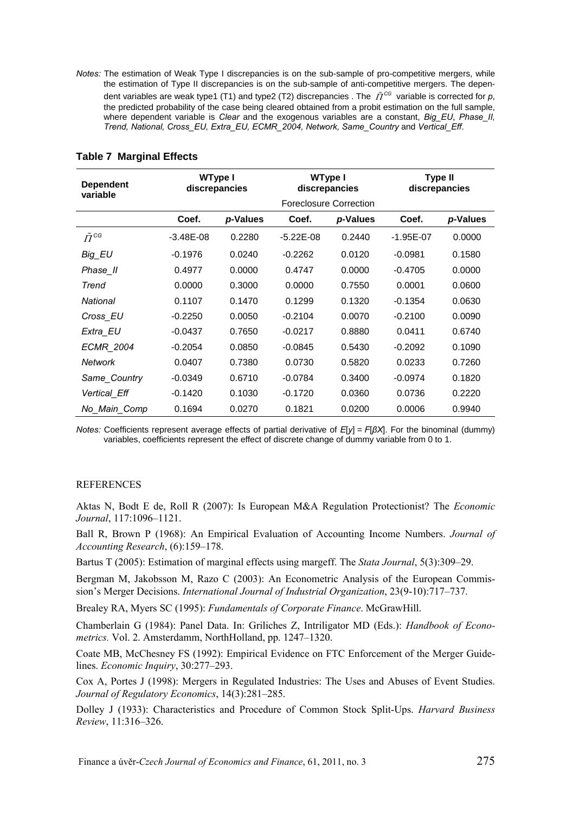*Notes:* The estimation of Weak Type I discrepancies is on the sub-sample of pro-competitive mergers, while the estimation of Type II discrepancies is on the sub-sample of anti-competitive mergers. The dependent variables are weak type1 (T1) and type2 (T2) discrepancies . The  $\tilde{\Pi}^{\text{CG}}$  variable is corrected for p, the predicted probability of the case being cleared obtained from a probit estimation on the full sample, where dependent variable is *Clear* and the exogenous variables are a constant, *Big\_EU*, *Phase\_II, Trend, National, Cross\_EU, Extra\_EU, ECMR\_2004, Network, Same\_Country* and *Vertical\_Eff*.

| <b>Dependent</b><br>variable | WType I<br>discrepancies |          | <b>WType I</b> | discrepancies          | Type II<br>discrepancies |          |
|------------------------------|--------------------------|----------|----------------|------------------------|--------------------------|----------|
|                              |                          |          |                | Foreclosure Correction |                          |          |
|                              | Coef.                    | p-Values | Coef.          | p-Values               | Coef.                    | p-Values |
| $\tilde{\Pi}^{CG}$           | $-3.48E - 08$            | 0.2280   | $-5.22E-08$    | 0.2440                 | $-1.95E - 07$            | 0.0000   |
| Big EU                       | $-0.1976$                | 0.0240   | $-0.2262$      | 0.0120                 | $-0.0981$                | 0.1580   |
| Phase II                     | 0.4977                   | 0.0000   | 0.4747         | 0.0000                 | $-0.4705$                | 0.0000   |
| Trend                        | 0.0000                   | 0.3000   | 0.0000         | 0.7550                 | 0.0001                   | 0.0600   |
| National                     | 0.1107                   | 0.1470   | 0.1299         | 0.1320                 | $-0.1354$                | 0.0630   |
| Cross EU                     | $-0.2250$                | 0.0050   | $-0.2104$      | 0.0070                 | $-0.2100$                | 0.0090   |
| Extra EU                     | $-0.0437$                | 0.7650   | $-0.0217$      | 0.8880                 | 0.0411                   | 0.6740   |
| <b>ECMR 2004</b>             | $-0.2054$                | 0.0850   | $-0.0845$      | 0.5430                 | $-0.2092$                | 0.1090   |
| Network                      | 0.0407                   | 0.7380   | 0.0730         | 0.5820                 | 0.0233                   | 0.7260   |
| Same Country                 | $-0.0349$                | 0.6710   | $-0.0784$      | 0.3400                 | $-0.0974$                | 0.1820   |
| Vertical Eff                 | $-0.1420$                | 0.1030   | $-0.1720$      | 0.0360                 | 0.0736                   | 0.2220   |
| No Main Comp                 | 0.1694                   | 0.0270   | 0.1821         | 0.0200                 | 0.0006                   | 0.9940   |

#### **Table 7 Marginal Effects**

*Notes:* Coefficients represent average effects of partial derivative of *E*[*y*] = *F*[*βX*]. For the binominal (dummy) variables, coefficients represent the effect of discrete change of dummy variable from 0 to 1.

#### **REFERENCES**

Aktas N, Bodt E de, Roll R (2007): Is European M&A Regulation Protectionist? The *Economic Journal*, 117:1096–1121.

Ball R, Brown P (1968): An Empirical Evaluation of Accounting Income Numbers. *Journal of Accounting Research*, (6):159–178.

Bartus T (2005): Estimation of marginal effects using margeff. The *Stata Journal*, 5(3):309–29.

Bergman M, Jakobsson M, Razo C (2003): An Econometric Analysis of the European Commission's Merger Decisions. *International Journal of Industrial Organization*, 23(9-10):717–737.

Brealey RA, Myers SC (1995): *Fundamentals of Corporate Finance*. McGrawHill.

Chamberlain G (1984): Panel Data. In: Griliches Z, Intriligator MD (Eds.): *Handbook of Econometrics.* Vol. 2. Amsterdamm, NorthHolland, pp. 1247–1320.

Coate MB, McChesney FS (1992): Empirical Evidence on FTC Enforcement of the Merger Guidelines. *Economic Inquiry*, 30:277–293.

Cox A, Portes J (1998): Mergers in Regulated Industries: The Uses and Abuses of Event Studies. *Journal of Regulatory Economics*, 14(3):281–285.

Dolley J (1933): Characteristics and Procedure of Common Stock Split-Ups. *Harvard Business Review*, 11:316–326.